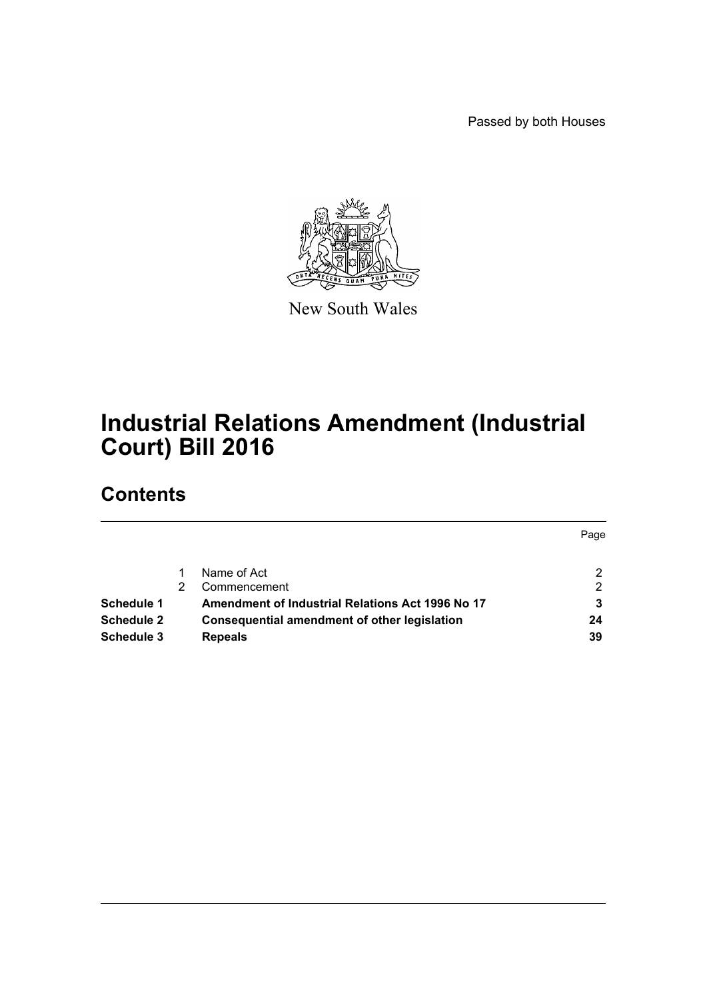Passed by both Houses



New South Wales

# **Industrial Relations Amendment (Industrial Court) Bill 2016**

## **Contents**

|                   |                                                     | Page |
|-------------------|-----------------------------------------------------|------|
|                   | Name of Act                                         | າ    |
|                   | Commencement                                        | 2    |
| Schedule 1        | Amendment of Industrial Relations Act 1996 No 17    |      |
| <b>Schedule 2</b> | <b>Consequential amendment of other legislation</b> | 24   |
| Schedule 3        | <b>Repeals</b>                                      | 39   |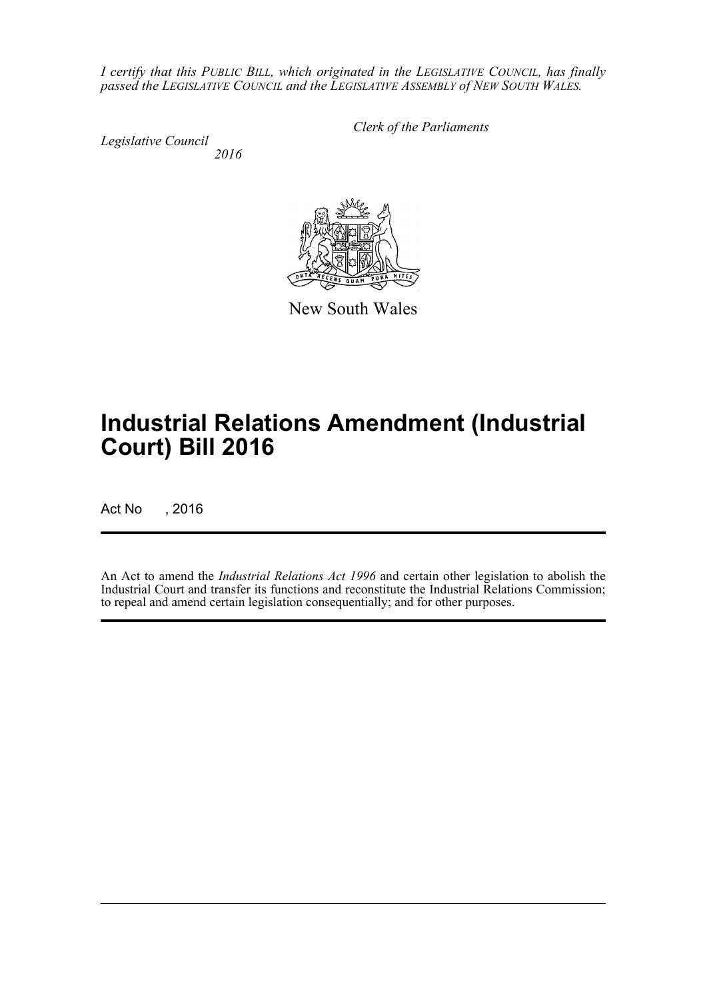*I certify that this PUBLIC BILL, which originated in the LEGISLATIVE COUNCIL, has finally passed the LEGISLATIVE COUNCIL and the LEGISLATIVE ASSEMBLY of NEW SOUTH WALES.*

*Legislative Council 2016* *Clerk of the Parliaments*



# **Industrial Relations Amendment (Industrial Court) Bill 2016**

Act No , 2016

An Act to amend the *Industrial Relations Act 1996* and certain other legislation to abolish the Industrial Court and transfer its functions and reconstitute the Industrial Relations Commission; to repeal and amend certain legislation consequentially; and for other purposes.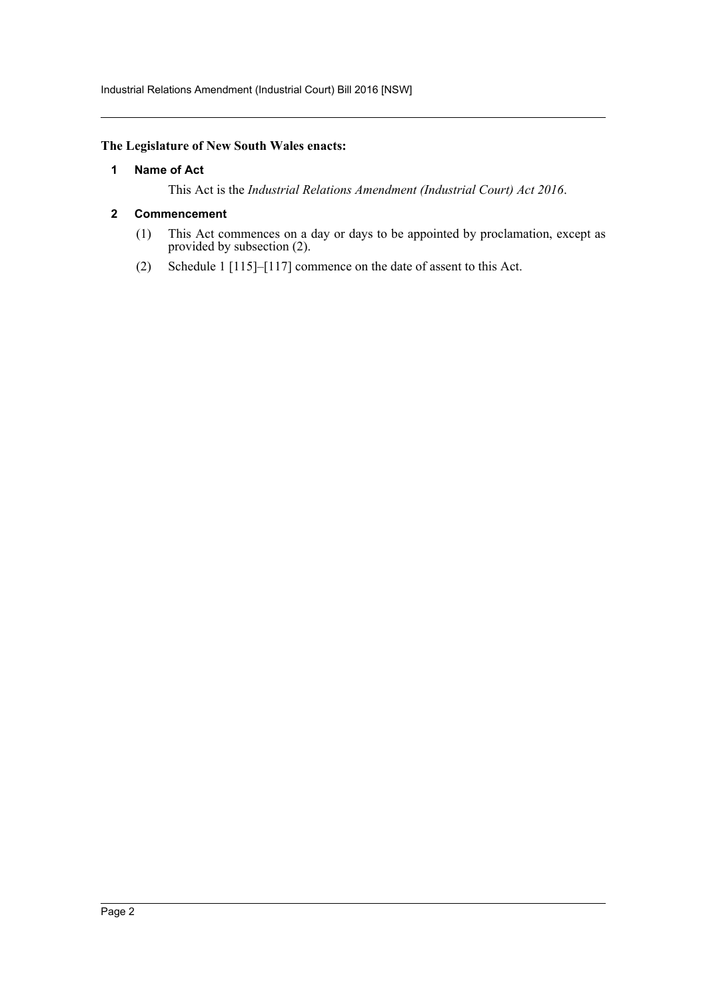Industrial Relations Amendment (Industrial Court) Bill 2016 [NSW]

## <span id="page-2-0"></span>**The Legislature of New South Wales enacts:**

### **1 Name of Act**

This Act is the *Industrial Relations Amendment (Industrial Court) Act 2016*.

### <span id="page-2-1"></span>**2 Commencement**

- (1) This Act commences on a day or days to be appointed by proclamation, except as provided by subsection (2).
- (2) Schedule 1 [115]–[117] commence on the date of assent to this Act.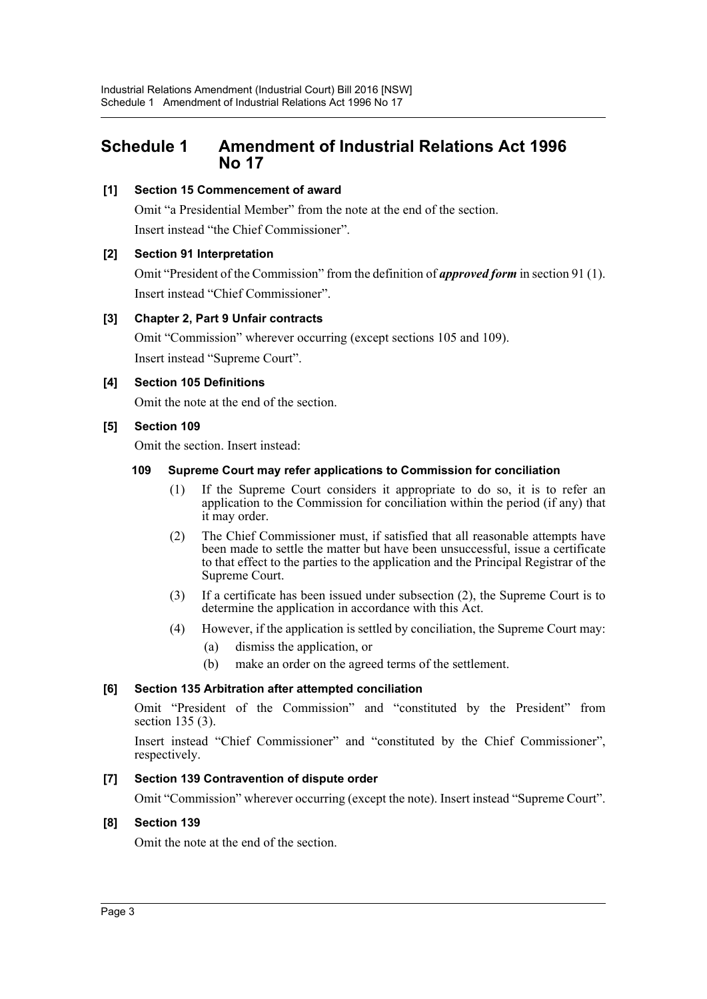## <span id="page-3-0"></span>**Schedule 1 Amendment of Industrial Relations Act 1996 No 17**

## **[1] Section 15 Commencement of award**

Omit "a Presidential Member" from the note at the end of the section. Insert instead "the Chief Commissioner".

### **[2] Section 91 Interpretation**

Omit "President of the Commission" from the definition of *approved form* in section 91 (1). Insert instead "Chief Commissioner".

### **[3] Chapter 2, Part 9 Unfair contracts**

Omit "Commission" wherever occurring (except sections 105 and 109). Insert instead "Supreme Court".

### **[4] Section 105 Definitions**

Omit the note at the end of the section.

### **[5] Section 109**

Omit the section. Insert instead:

## **109 Supreme Court may refer applications to Commission for conciliation**

- (1) If the Supreme Court considers it appropriate to do so, it is to refer an application to the Commission for conciliation within the period (if any) that it may order.
- (2) The Chief Commissioner must, if satisfied that all reasonable attempts have been made to settle the matter but have been unsuccessful, issue a certificate to that effect to the parties to the application and the Principal Registrar of the Supreme Court.
- (3) If a certificate has been issued under subsection (2), the Supreme Court is to determine the application in accordance with this Act.
- (4) However, if the application is settled by conciliation, the Supreme Court may:
	- (a) dismiss the application, or
	- (b) make an order on the agreed terms of the settlement.

#### **[6] Section 135 Arbitration after attempted conciliation**

Omit "President of the Commission" and "constituted by the President" from section 135 (3).

Insert instead "Chief Commissioner" and "constituted by the Chief Commissioner", respectively.

## **[7] Section 139 Contravention of dispute order**

Omit "Commission" wherever occurring (except the note). Insert instead "Supreme Court".

#### **[8] Section 139**

Omit the note at the end of the section.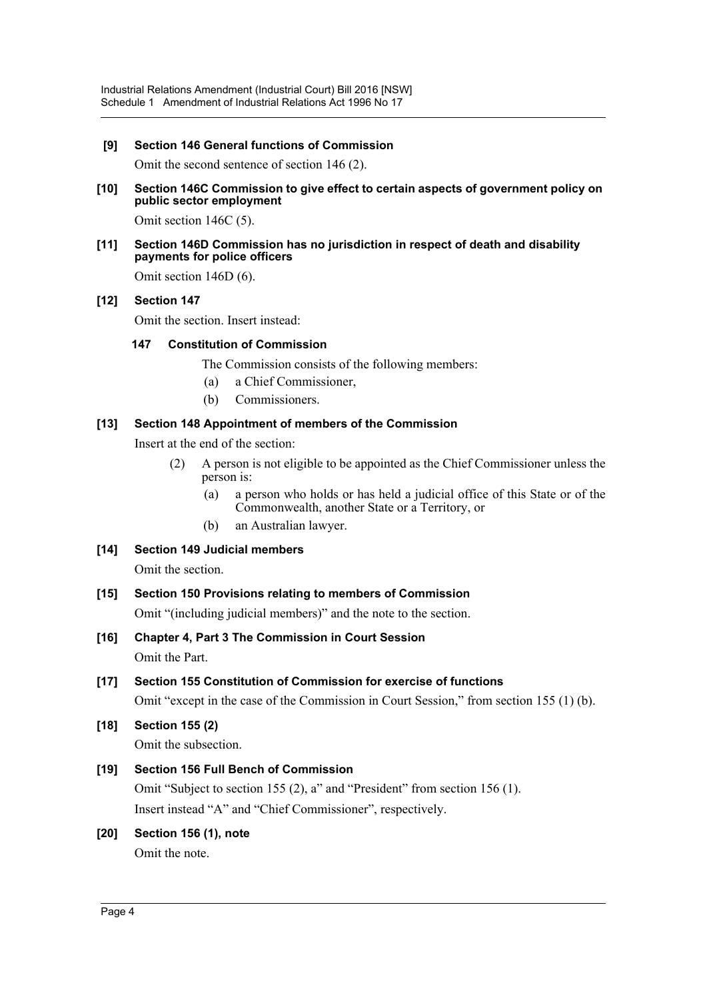## **[9] Section 146 General functions of Commission**

Omit the second sentence of section 146 (2).

**[10] Section 146C Commission to give effect to certain aspects of government policy on public sector employment**

Omit section 146C (5).

**[11] Section 146D Commission has no jurisdiction in respect of death and disability payments for police officers**

Omit section 146D (6).

### **[12] Section 147**

Omit the section. Insert instead:

#### **147 Constitution of Commission**

The Commission consists of the following members:

- (a) a Chief Commissioner,
- (b) Commissioners.

## **[13] Section 148 Appointment of members of the Commission**

Insert at the end of the section:

- (2) A person is not eligible to be appointed as the Chief Commissioner unless the person is:
	- (a) a person who holds or has held a judicial office of this State or of the Commonwealth, another State or a Territory, or
	- (b) an Australian lawyer.
- **[14] Section 149 Judicial members** Omit the section.
- **[15] Section 150 Provisions relating to members of Commission**

Omit "(including judicial members)" and the note to the section.

- **[16] Chapter 4, Part 3 The Commission in Court Session** Omit the Part.
- **[17] Section 155 Constitution of Commission for exercise of functions**

Omit "except in the case of the Commission in Court Session," from section 155 (1) (b).

**[18] Section 155 (2)** Omit the subsection.

## **[19] Section 156 Full Bench of Commission**

Omit "Subject to section 155 (2), a" and "President" from section 156 (1). Insert instead "A" and "Chief Commissioner", respectively.

## **[20] Section 156 (1), note**

Omit the note.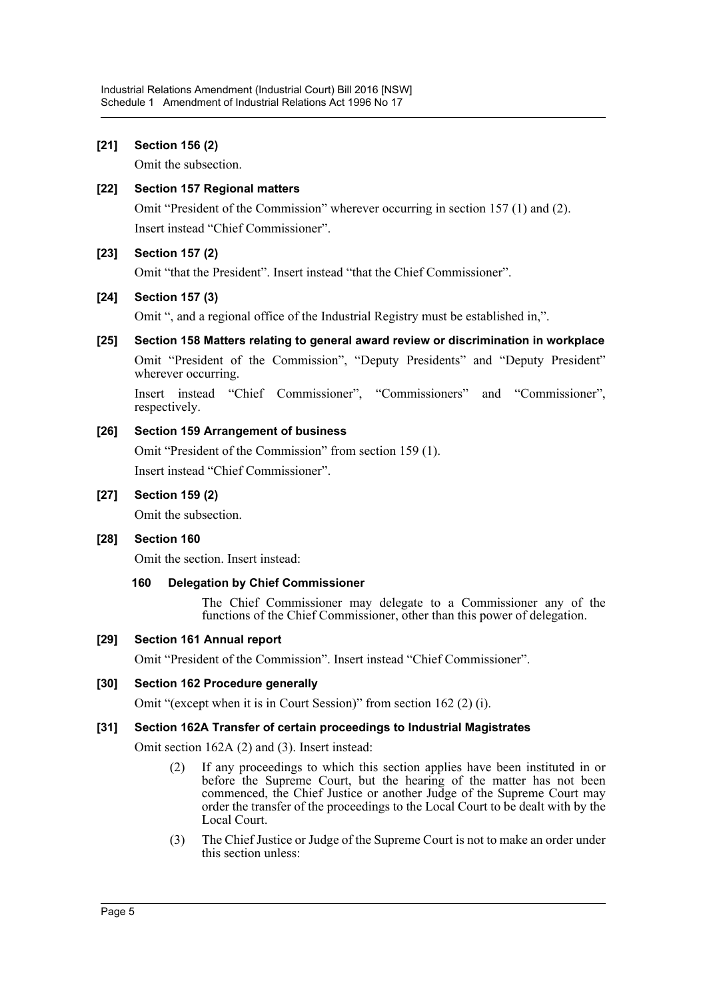## **[21] Section 156 (2)**

Omit the subsection.

### **[22] Section 157 Regional matters**

Omit "President of the Commission" wherever occurring in section 157 (1) and (2). Insert instead "Chief Commissioner".

### **[23] Section 157 (2)**

Omit "that the President". Insert instead "that the Chief Commissioner".

## **[24] Section 157 (3)**

Omit ", and a regional office of the Industrial Registry must be established in,".

## **[25] Section 158 Matters relating to general award review or discrimination in workplace**

Omit "President of the Commission", "Deputy Presidents" and "Deputy President" wherever occurring.

Insert instead "Chief Commissioner", "Commissioners" and "Commissioner", respectively.

### **[26] Section 159 Arrangement of business**

Omit "President of the Commission" from section 159 (1). Insert instead "Chief Commissioner".

### **[27] Section 159 (2)**

Omit the subsection.

#### **[28] Section 160**

Omit the section. Insert instead:

#### **160 Delegation by Chief Commissioner**

The Chief Commissioner may delegate to a Commissioner any of the functions of the Chief Commissioner, other than this power of delegation.

#### **[29] Section 161 Annual report**

Omit "President of the Commission". Insert instead "Chief Commissioner".

#### **[30] Section 162 Procedure generally**

Omit "(except when it is in Court Session)" from section 162 (2) (i).

#### **[31] Section 162A Transfer of certain proceedings to Industrial Magistrates**

Omit section 162A (2) and (3). Insert instead:

- (2) If any proceedings to which this section applies have been instituted in or before the Supreme Court, but the hearing of the matter has not been commenced, the Chief Justice or another Judge of the Supreme Court may order the transfer of the proceedings to the Local Court to be dealt with by the Local Court.
- (3) The Chief Justice or Judge of the Supreme Court is not to make an order under this section unless: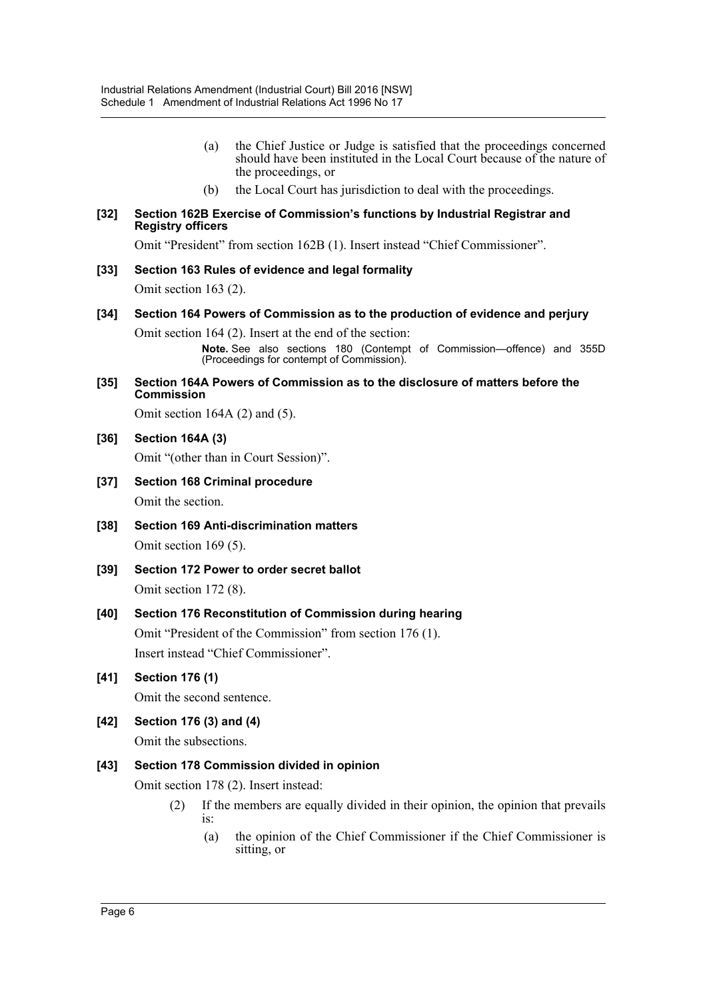- (a) the Chief Justice or Judge is satisfied that the proceedings concerned should have been instituted in the Local Court because of the nature of the proceedings, or
- (b) the Local Court has jurisdiction to deal with the proceedings.

#### **[32] Section 162B Exercise of Commission's functions by Industrial Registrar and Registry officers**

Omit "President" from section 162B (1). Insert instead "Chief Commissioner".

**[33] Section 163 Rules of evidence and legal formality**

Omit section 163 (2).

**[34] Section 164 Powers of Commission as to the production of evidence and perjury**

Omit section 164 (2). Insert at the end of the section:

**Note.** See also sections 180 (Contempt of Commission—offence) and 355D (Proceedings for contempt of Commission).

#### **[35] Section 164A Powers of Commission as to the disclosure of matters before the Commission**

Omit section 164A (2) and (5).

**[36] Section 164A (3)**

Omit "(other than in Court Session)".

- **[37] Section 168 Criminal procedure** Omit the section.
- **[38] Section 169 Anti-discrimination matters** Omit section 169 (5).
- **[39] Section 172 Power to order secret ballot** Omit section 172 (8).
- **[40] Section 176 Reconstitution of Commission during hearing** Omit "President of the Commission" from section 176 (1). Insert instead "Chief Commissioner".
- **[41] Section 176 (1)**

Omit the second sentence.

**[42] Section 176 (3) and (4)** Omit the subsections.

## **[43] Section 178 Commission divided in opinion**

Omit section 178 (2). Insert instead:

- (2) If the members are equally divided in their opinion, the opinion that prevails is:
	- (a) the opinion of the Chief Commissioner if the Chief Commissioner is sitting, or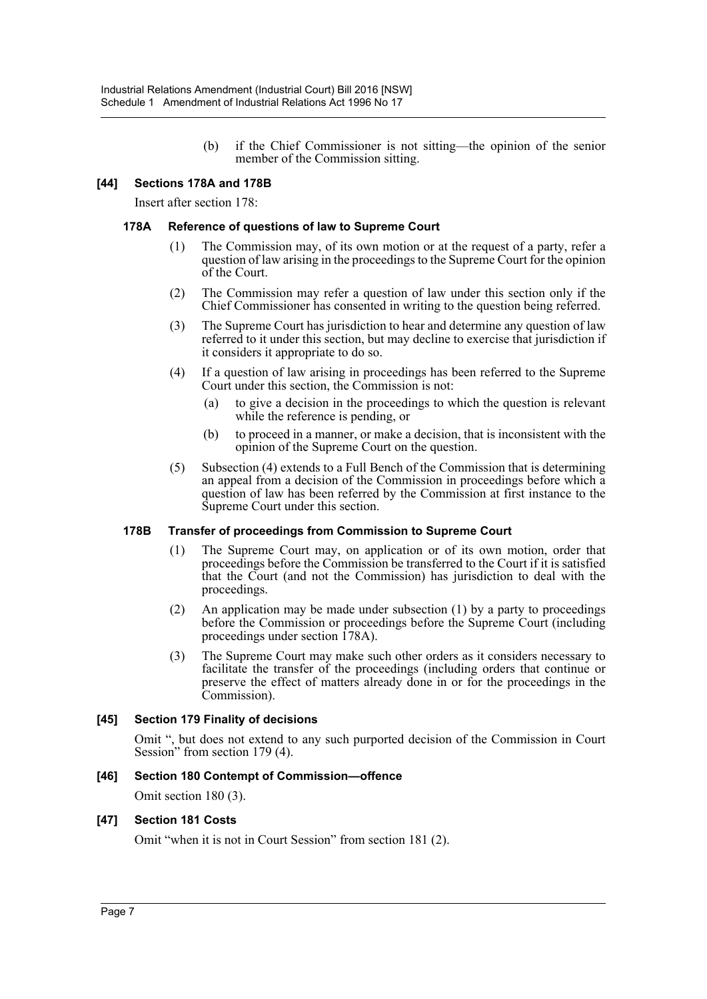(b) if the Chief Commissioner is not sitting—the opinion of the senior member of the Commission sitting.

#### **[44] Sections 178A and 178B**

Insert after section 178:

#### **178A Reference of questions of law to Supreme Court**

- (1) The Commission may, of its own motion or at the request of a party, refer a question of law arising in the proceedings to the Supreme Court for the opinion of the Court.
- (2) The Commission may refer a question of law under this section only if the Chief Commissioner has consented in writing to the question being referred.
- (3) The Supreme Court has jurisdiction to hear and determine any question of law referred to it under this section, but may decline to exercise that jurisdiction if it considers it appropriate to do so.
- (4) If a question of law arising in proceedings has been referred to the Supreme Court under this section, the Commission is not:
	- (a) to give a decision in the proceedings to which the question is relevant while the reference is pending, or
	- (b) to proceed in a manner, or make a decision, that is inconsistent with the opinion of the Supreme Court on the question.
- (5) Subsection (4) extends to a Full Bench of the Commission that is determining an appeal from a decision of the Commission in proceedings before which a question of law has been referred by the Commission at first instance to the Supreme Court under this section.

#### **178B Transfer of proceedings from Commission to Supreme Court**

- (1) The Supreme Court may, on application or of its own motion, order that proceedings before the Commission be transferred to the Court if it is satisfied that the Court (and not the Commission) has jurisdiction to deal with the proceedings.
- (2) An application may be made under subsection (1) by a party to proceedings before the Commission or proceedings before the Supreme Court (including proceedings under section 178A).
- (3) The Supreme Court may make such other orders as it considers necessary to facilitate the transfer of the proceedings (including orders that continue or preserve the effect of matters already done in or for the proceedings in the Commission).

## **[45] Section 179 Finality of decisions**

Omit ", but does not extend to any such purported decision of the Commission in Court Session" from section 179 (4).

#### **[46] Section 180 Contempt of Commission—offence**

Omit section 180 (3).

#### **[47] Section 181 Costs**

Omit "when it is not in Court Session" from section 181 (2).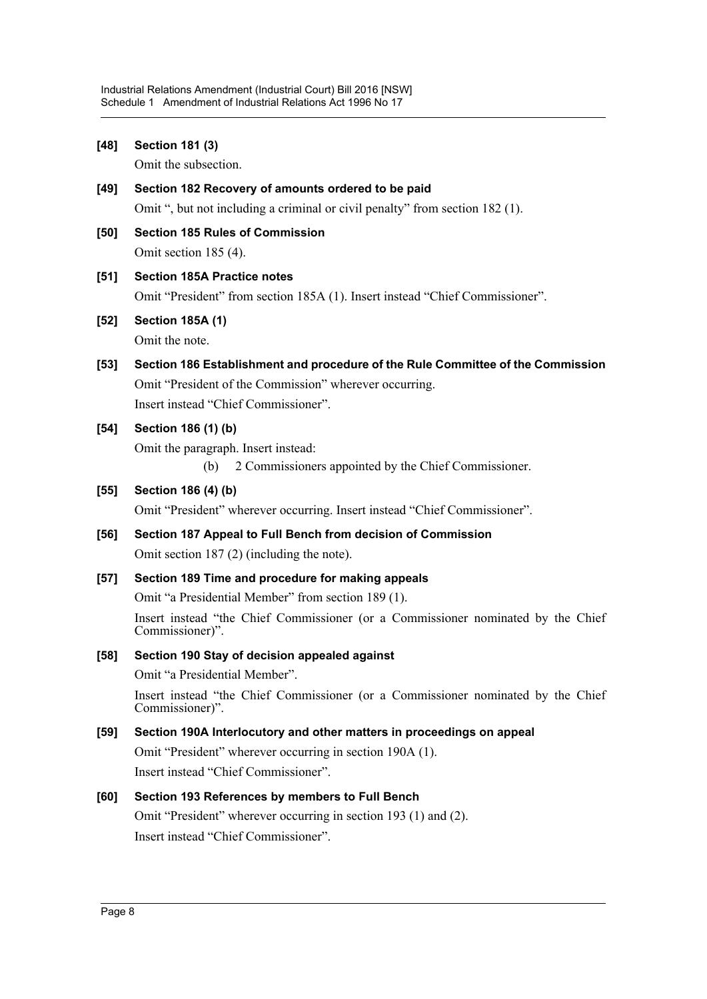| $[48]$ | <b>Section 181 (3)</b>                                                                              |
|--------|-----------------------------------------------------------------------------------------------------|
|        | Omit the subsection.                                                                                |
| $[49]$ | Section 182 Recovery of amounts ordered to be paid                                                  |
|        | Omit ", but not including a criminal or civil penalty" from section 182 (1).                        |
| $[50]$ | <b>Section 185 Rules of Commission</b>                                                              |
|        | Omit section 185 (4).                                                                               |
| [51]   | <b>Section 185A Practice notes</b>                                                                  |
|        | Omit "President" from section 185A (1). Insert instead "Chief Commissioner".                        |
| $[52]$ | <b>Section 185A (1)</b>                                                                             |
|        | Omit the note.                                                                                      |
| $[53]$ | Section 186 Establishment and procedure of the Rule Committee of the Commission                     |
|        | Omit "President of the Commission" wherever occurring.                                              |
|        | Insert instead "Chief Commissioner".                                                                |
| $[54]$ | Section 186 (1) (b)                                                                                 |
|        | Omit the paragraph. Insert instead:                                                                 |
|        | 2 Commissioners appointed by the Chief Commissioner.<br>(b)                                         |
| $[55]$ | Section 186 (4) (b)                                                                                 |
|        | Omit "President" wherever occurring. Insert instead "Chief Commissioner".                           |
| $[56]$ | Section 187 Appeal to Full Bench from decision of Commission                                        |
|        | Omit section $187(2)$ (including the note).                                                         |
| $[57]$ | Section 189 Time and procedure for making appeals                                                   |
|        | Omit "a Presidential Member" from section 189 (1).                                                  |
|        | Insert instead "the Chief Commissioner (or a Commissioner nominated by the Chief<br>Commissioner)". |
| $[58]$ | Section 190 Stay of decision appealed against                                                       |
|        | Omit "a Presidential Member".                                                                       |
|        | Insert instead "the Chief Commissioner (or a Commissioner nominated by the Chief<br>Commissioner)". |
| $[59]$ | Section 190A Interlocutory and other matters in proceedings on appeal                               |
|        | Omit "President" wherever occurring in section 190A (1).                                            |
|        | Insert instead "Chief Commissioner".                                                                |
| [60]   | Section 193 References by members to Full Bench                                                     |
|        | Omit "President" wherever occurring in section 193 (1) and (2).                                     |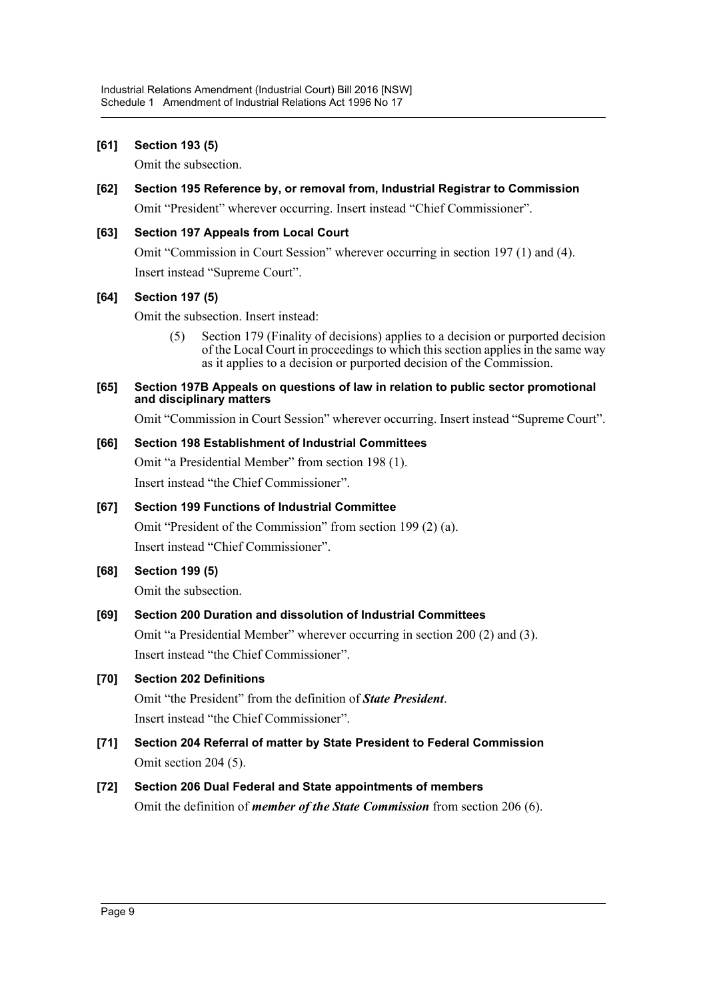### **[61] Section 193 (5)**

Omit the subsection.

**[62] Section 195 Reference by, or removal from, Industrial Registrar to Commission** Omit "President" wherever occurring. Insert instead "Chief Commissioner".

## **[63] Section 197 Appeals from Local Court**

Omit "Commission in Court Session" wherever occurring in section 197 (1) and (4). Insert instead "Supreme Court".

### **[64] Section 197 (5)**

Omit the subsection. Insert instead:

(5) Section 179 (Finality of decisions) applies to a decision or purported decision of the Local Court in proceedings to which this section applies in the same way as it applies to a decision or purported decision of the Commission.

#### **[65] Section 197B Appeals on questions of law in relation to public sector promotional and disciplinary matters**

Omit "Commission in Court Session" wherever occurring. Insert instead "Supreme Court".

### **[66] Section 198 Establishment of Industrial Committees**

Omit "a Presidential Member" from section 198 (1). Insert instead "the Chief Commissioner".

## **[67] Section 199 Functions of Industrial Committee**

Omit "President of the Commission" from section 199 (2) (a). Insert instead "Chief Commissioner".

## **[68] Section 199 (5)**

Omit the subsection.

## **[69] Section 200 Duration and dissolution of Industrial Committees**

Omit "a Presidential Member" wherever occurring in section 200 (2) and (3). Insert instead "the Chief Commissioner".

## **[70] Section 202 Definitions**

Omit "the President" from the definition of *State President*. Insert instead "the Chief Commissioner".

**[71] Section 204 Referral of matter by State President to Federal Commission** Omit section 204 (5).

## **[72] Section 206 Dual Federal and State appointments of members**

Omit the definition of *member of the State Commission* from section 206 (6).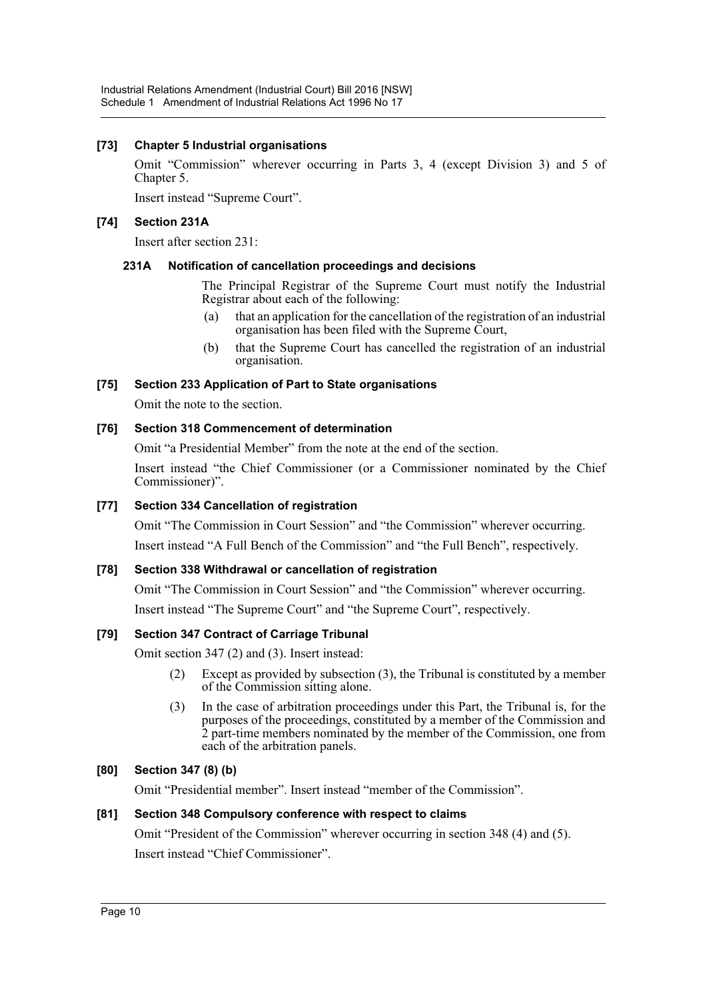## **[73] Chapter 5 Industrial organisations**

Omit "Commission" wherever occurring in Parts 3, 4 (except Division 3) and 5 of Chapter 5.

Insert instead "Supreme Court".

### **[74] Section 231A**

Insert after section 231:

### **231A Notification of cancellation proceedings and decisions**

The Principal Registrar of the Supreme Court must notify the Industrial Registrar about each of the following:

- (a) that an application for the cancellation of the registration of an industrial organisation has been filed with the Supreme Court,
- (b) that the Supreme Court has cancelled the registration of an industrial organisation.

## **[75] Section 233 Application of Part to State organisations**

Omit the note to the section.

### **[76] Section 318 Commencement of determination**

Omit "a Presidential Member" from the note at the end of the section.

Insert instead "the Chief Commissioner (or a Commissioner nominated by the Chief Commissioner)".

## **[77] Section 334 Cancellation of registration**

Omit "The Commission in Court Session" and "the Commission" wherever occurring. Insert instead "A Full Bench of the Commission" and "the Full Bench", respectively.

## **[78] Section 338 Withdrawal or cancellation of registration**

Omit "The Commission in Court Session" and "the Commission" wherever occurring. Insert instead "The Supreme Court" and "the Supreme Court", respectively.

## **[79] Section 347 Contract of Carriage Tribunal**

Omit section 347 (2) and (3). Insert instead:

- (2) Except as provided by subsection (3), the Tribunal is constituted by a member of the Commission sitting alone.
- (3) In the case of arbitration proceedings under this Part, the Tribunal is, for the purposes of the proceedings, constituted by a member of the Commission and 2 part-time members nominated by the member of the Commission, one from each of the arbitration panels.

#### **[80] Section 347 (8) (b)**

Omit "Presidential member". Insert instead "member of the Commission".

#### **[81] Section 348 Compulsory conference with respect to claims**

Omit "President of the Commission" wherever occurring in section 348 (4) and (5). Insert instead "Chief Commissioner".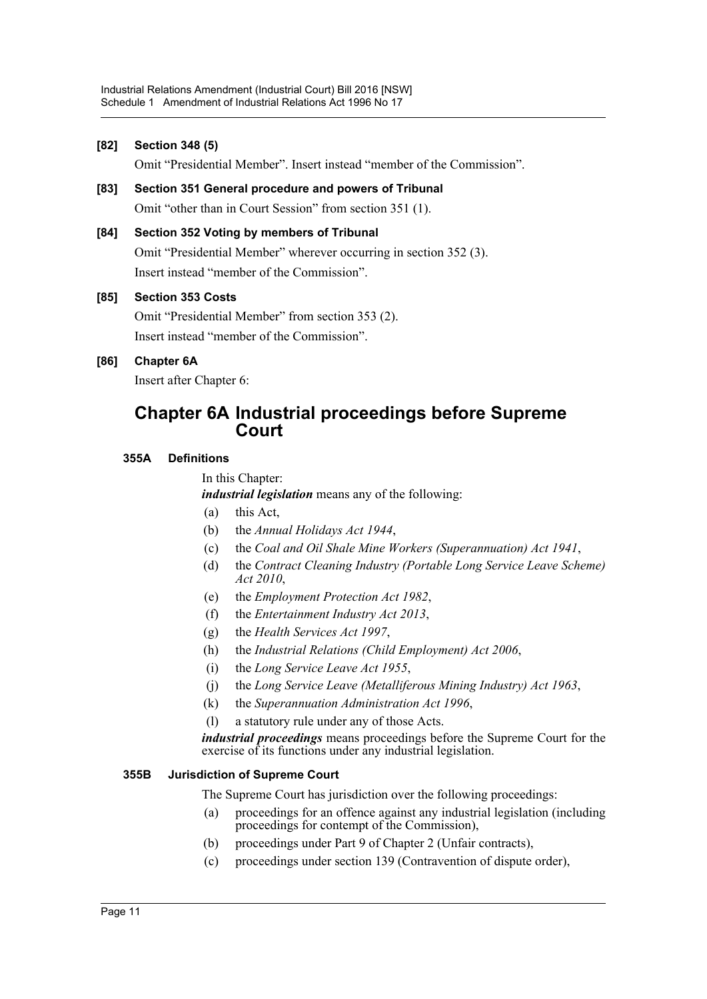### **[82] Section 348 (5)**

Omit "Presidential Member". Insert instead "member of the Commission".

- **[83] Section 351 General procedure and powers of Tribunal** Omit "other than in Court Session" from section 351 (1).
- **[84] Section 352 Voting by members of Tribunal** Omit "Presidential Member" wherever occurring in section 352 (3). Insert instead "member of the Commission".

### **[85] Section 353 Costs**

Omit "Presidential Member" from section 353 (2). Insert instead "member of the Commission".

## **[86] Chapter 6A**

Insert after Chapter 6:

## **Chapter 6A Industrial proceedings before Supreme Court**

### **355A Definitions**

In this Chapter:

*industrial legislation* means any of the following:

- (a) this Act,
- (b) the *Annual Holidays Act 1944*,
- (c) the *Coal and Oil Shale Mine Workers (Superannuation) Act 1941*,
- (d) the *Contract Cleaning Industry (Portable Long Service Leave Scheme) Act 2010*,
- (e) the *Employment Protection Act 1982*,
- (f) the *Entertainment Industry Act 2013*,
- (g) the *Health Services Act 1997*,
- (h) the *Industrial Relations (Child Employment) Act 2006*,
- (i) the *Long Service Leave Act 1955*,
- (j) the *Long Service Leave (Metalliferous Mining Industry) Act 1963*,
- (k) the *Superannuation Administration Act 1996*,
- (l) a statutory rule under any of those Acts.

*industrial proceedings* means proceedings before the Supreme Court for the exercise of its functions under any industrial legislation.

#### **355B Jurisdiction of Supreme Court**

The Supreme Court has jurisdiction over the following proceedings:

- (a) proceedings for an offence against any industrial legislation (including proceedings for contempt of the Commission),
- (b) proceedings under Part 9 of Chapter 2 (Unfair contracts),
- (c) proceedings under section 139 (Contravention of dispute order),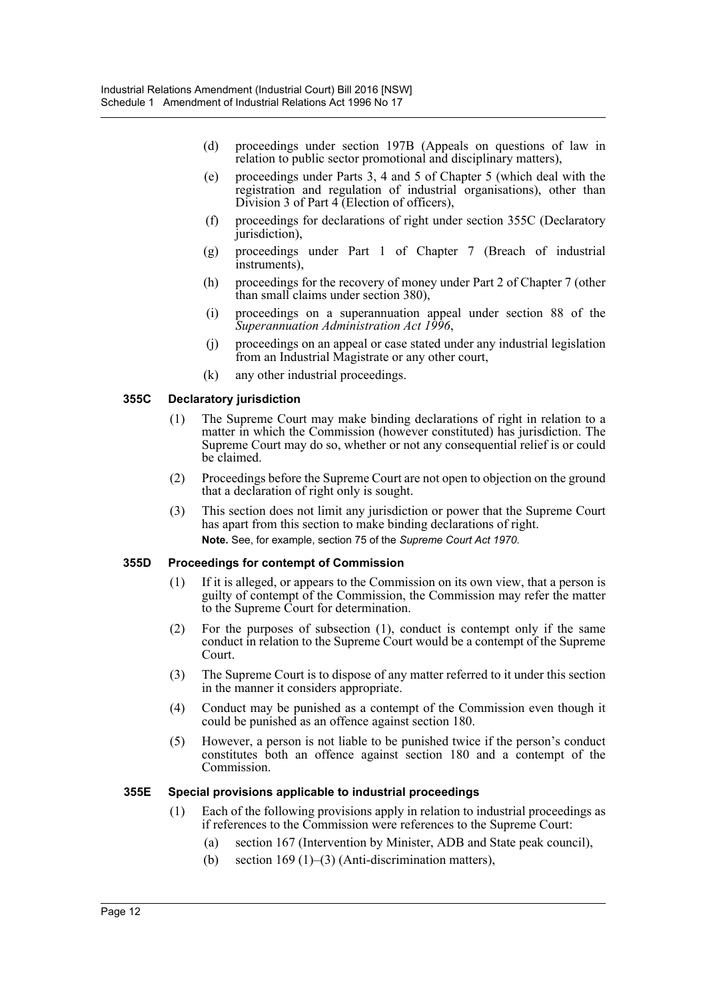- (d) proceedings under section 197B (Appeals on questions of law in relation to public sector promotional and disciplinary matters),
- (e) proceedings under Parts 3, 4 and 5 of Chapter 5 (which deal with the registration and regulation of industrial organisations), other than Division 3 of Part 4 (Election of officers),
- (f) proceedings for declarations of right under section 355C (Declaratory jurisdiction),
- (g) proceedings under Part 1 of Chapter 7 (Breach of industrial instruments),
- (h) proceedings for the recovery of money under Part 2 of Chapter 7 (other than small claims under section 380),
- (i) proceedings on a superannuation appeal under section 88 of the *Superannuation Administration Act 1996*,
- (j) proceedings on an appeal or case stated under any industrial legislation from an Industrial Magistrate or any other court,
- (k) any other industrial proceedings.

#### **355C Declaratory jurisdiction**

- (1) The Supreme Court may make binding declarations of right in relation to a matter in which the Commission (however constituted) has jurisdiction. The Supreme Court may do so, whether or not any consequential relief is or could be claimed.
- (2) Proceedings before the Supreme Court are not open to objection on the ground that a declaration of right only is sought.
- (3) This section does not limit any jurisdiction or power that the Supreme Court has apart from this section to make binding declarations of right. **Note.** See, for example, section 75 of the *Supreme Court Act 1970*.

#### **355D Proceedings for contempt of Commission**

- (1) If it is alleged, or appears to the Commission on its own view, that a person is guilty of contempt of the Commission, the Commission may refer the matter to the Supreme Court for determination.
- (2) For the purposes of subsection (1), conduct is contempt only if the same conduct in relation to the Supreme Court would be a contempt of the Supreme Court.
- (3) The Supreme Court is to dispose of any matter referred to it under this section in the manner it considers appropriate.
- (4) Conduct may be punished as a contempt of the Commission even though it could be punished as an offence against section 180.
- (5) However, a person is not liable to be punished twice if the person's conduct constitutes both an offence against section 180 and a contempt of the Commission.

#### **355E Special provisions applicable to industrial proceedings**

- (1) Each of the following provisions apply in relation to industrial proceedings as if references to the Commission were references to the Supreme Court:
	- (a) section 167 (Intervention by Minister, ADB and State peak council),
	- (b) section  $169 (1)$ –(3) (Anti-discrimination matters),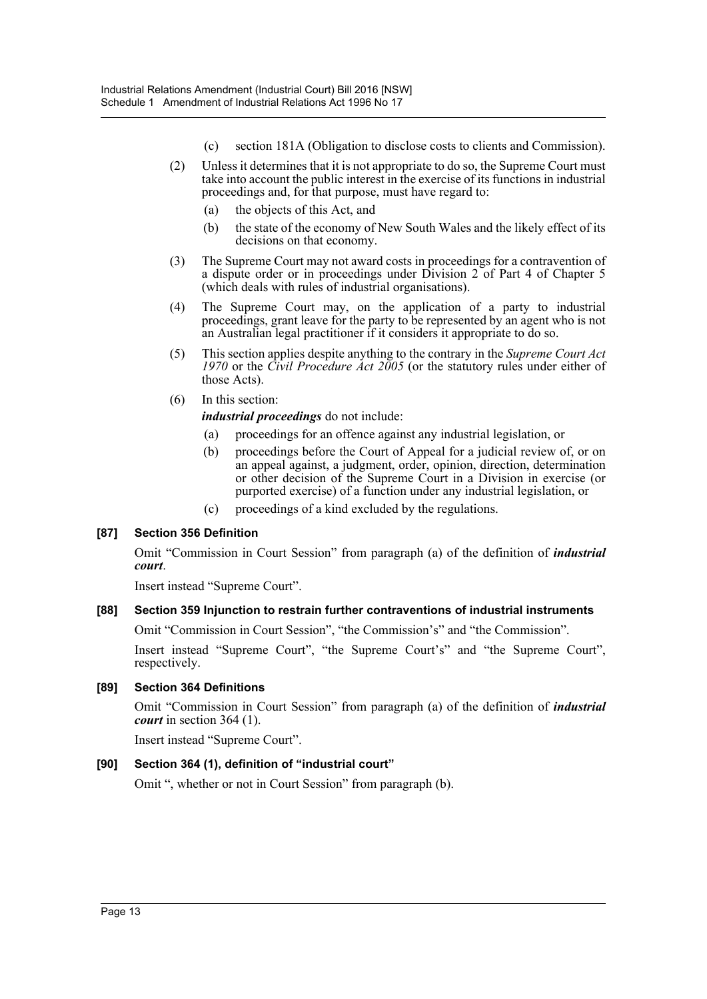- (c) section 181A (Obligation to disclose costs to clients and Commission).
- (2) Unless it determines that it is not appropriate to do so, the Supreme Court must take into account the public interest in the exercise of its functions in industrial proceedings and, for that purpose, must have regard to:
	- (a) the objects of this Act, and
	- (b) the state of the economy of New South Wales and the likely effect of its decisions on that economy.
- (3) The Supreme Court may not award costs in proceedings for a contravention of a dispute order or in proceedings under Division 2 of Part 4 of Chapter 5 (which deals with rules of industrial organisations).
- (4) The Supreme Court may, on the application of a party to industrial proceedings, grant leave for the party to be represented by an agent who is not an Australian legal practitioner if it considers it appropriate to do so.
- (5) This section applies despite anything to the contrary in the *Supreme Court Act 1970* or the *Civil Procedure Act 2005* (or the statutory rules under either of those Acts).
- (6) In this section:

*industrial proceedings* do not include:

- (a) proceedings for an offence against any industrial legislation, or
- (b) proceedings before the Court of Appeal for a judicial review of, or on an appeal against, a judgment, order, opinion, direction, determination or other decision of the Supreme Court in a Division in exercise (or purported exercise) of a function under any industrial legislation, or
- (c) proceedings of a kind excluded by the regulations.

## **[87] Section 356 Definition**

Omit "Commission in Court Session" from paragraph (a) of the definition of *industrial court*.

Insert instead "Supreme Court".

## **[88] Section 359 Injunction to restrain further contraventions of industrial instruments**

Omit "Commission in Court Session", "the Commission's" and "the Commission".

Insert instead "Supreme Court", "the Supreme Court's" and "the Supreme Court", respectively.

## **[89] Section 364 Definitions**

Omit "Commission in Court Session" from paragraph (a) of the definition of *industrial court* in section 364 (1).

Insert instead "Supreme Court".

## **[90] Section 364 (1), definition of "industrial court"**

Omit ", whether or not in Court Session" from paragraph (b).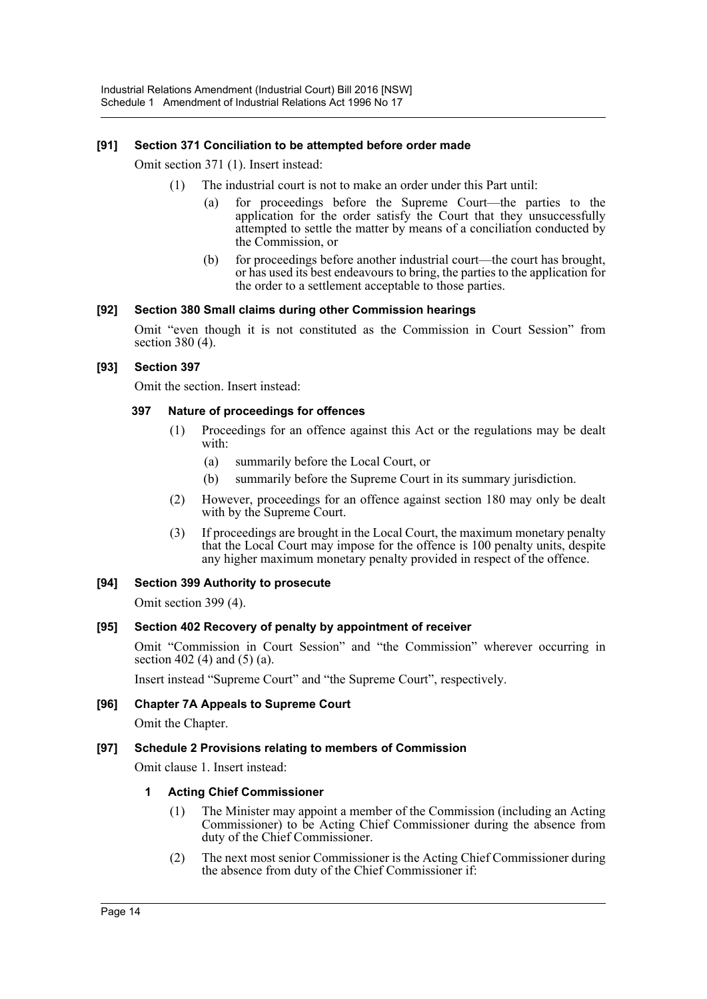## **[91] Section 371 Conciliation to be attempted before order made**

Omit section 371 (1). Insert instead:

- (1) The industrial court is not to make an order under this Part until:
	- (a) for proceedings before the Supreme Court—the parties to the application for the order satisfy the Court that they unsuccessfully attempted to settle the matter by means of a conciliation conducted by the Commission, or
	- (b) for proceedings before another industrial court—the court has brought, or has used its best endeavours to bring, the parties to the application for the order to a settlement acceptable to those parties.

#### **[92] Section 380 Small claims during other Commission hearings**

Omit "even though it is not constituted as the Commission in Court Session" from section 380 (4).

#### **[93] Section 397**

Omit the section. Insert instead:

#### **397 Nature of proceedings for offences**

- (1) Proceedings for an offence against this Act or the regulations may be dealt with:
	- (a) summarily before the Local Court, or
	- (b) summarily before the Supreme Court in its summary jurisdiction.
- (2) However, proceedings for an offence against section 180 may only be dealt with by the Supreme Court.
- (3) If proceedings are brought in the Local Court, the maximum monetary penalty that the Local Court may impose for the offence is 100 penalty units, despite any higher maximum monetary penalty provided in respect of the offence.

#### **[94] Section 399 Authority to prosecute**

Omit section 399 (4).

#### **[95] Section 402 Recovery of penalty by appointment of receiver**

Omit "Commission in Court Session" and "the Commission" wherever occurring in section 402 (4) and (5) (a).

Insert instead "Supreme Court" and "the Supreme Court", respectively.

#### **[96] Chapter 7A Appeals to Supreme Court**

Omit the Chapter.

#### **[97] Schedule 2 Provisions relating to members of Commission**

Omit clause 1. Insert instead:

#### **1 Acting Chief Commissioner**

- (1) The Minister may appoint a member of the Commission (including an Acting Commissioner) to be Acting Chief Commissioner during the absence from duty of the Chief Commissioner.
- (2) The next most senior Commissioner is the Acting Chief Commissioner during the absence from duty of the Chief Commissioner if: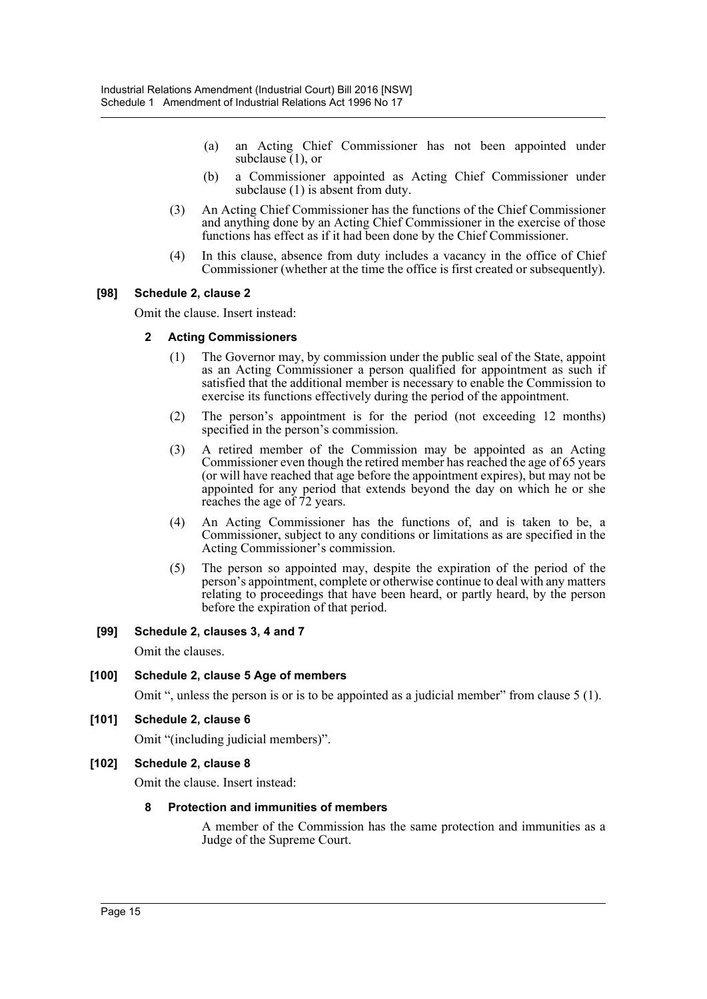- (a) an Acting Chief Commissioner has not been appointed under subclause (1), or
- (b) a Commissioner appointed as Acting Chief Commissioner under subclause (1) is absent from duty.
- (3) An Acting Chief Commissioner has the functions of the Chief Commissioner and anything done by an Acting Chief Commissioner in the exercise of those functions has effect as if it had been done by the Chief Commissioner.
- (4) In this clause, absence from duty includes a vacancy in the office of Chief Commissioner (whether at the time the office is first created or subsequently).

### **[98] Schedule 2, clause 2**

Omit the clause. Insert instead:

#### **2 Acting Commissioners**

- (1) The Governor may, by commission under the public seal of the State, appoint as an Acting Commissioner a person qualified for appointment as such if satisfied that the additional member is necessary to enable the Commission to exercise its functions effectively during the period of the appointment.
- (2) The person's appointment is for the period (not exceeding 12 months) specified in the person's commission.
- (3) A retired member of the Commission may be appointed as an Acting Commissioner even though the retired member has reached the age of 65 years (or will have reached that age before the appointment expires), but may not be appointed for any period that extends beyond the day on which he or she reaches the age of 72 years.
- (4) An Acting Commissioner has the functions of, and is taken to be, a Commissioner, subject to any conditions or limitations as are specified in the Acting Commissioner's commission.
- (5) The person so appointed may, despite the expiration of the period of the person's appointment, complete or otherwise continue to deal with any matters relating to proceedings that have been heard, or partly heard, by the person before the expiration of that period.

#### **[99] Schedule 2, clauses 3, 4 and 7**

Omit the clauses.

## **[100] Schedule 2, clause 5 Age of members**

Omit ", unless the person is or is to be appointed as a judicial member" from clause 5 (1).

#### **[101] Schedule 2, clause 6**

Omit "(including judicial members)".

#### **[102] Schedule 2, clause 8**

Omit the clause. Insert instead:

#### **8 Protection and immunities of members**

A member of the Commission has the same protection and immunities as a Judge of the Supreme Court.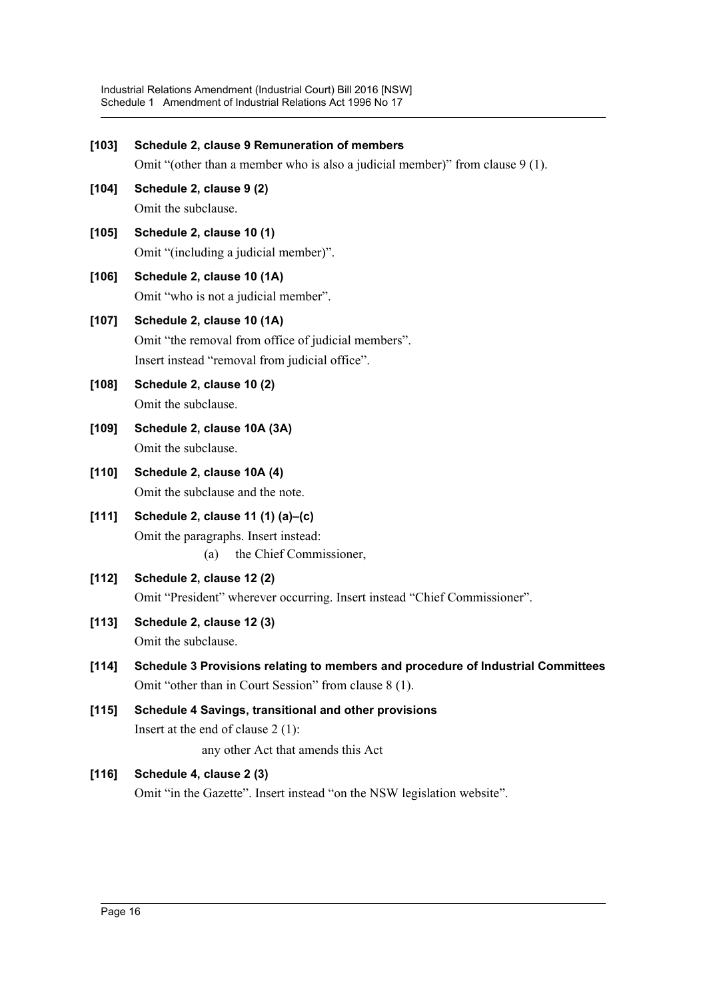| [103]   | Schedule 2, clause 9 Remuneration of members                                     |
|---------|----------------------------------------------------------------------------------|
|         | Omit "(other than a member who is also a judicial member)" from clause 9 (1).    |
| $[104]$ | Schedule 2, clause 9 (2)                                                         |
|         | Omit the subclause.                                                              |
| $[105]$ | Schedule 2, clause 10 (1)                                                        |
|         | Omit "(including a judicial member)".                                            |
| [106]   | Schedule 2, clause 10 (1A)                                                       |
|         | Omit "who is not a judicial member".                                             |
| $[107]$ | Schedule 2, clause 10 (1A)                                                       |
|         | Omit "the removal from office of judicial members".                              |
|         | Insert instead "removal from judicial office".                                   |
| $[108]$ | Schedule 2, clause 10 (2)                                                        |
|         | Omit the subclause.                                                              |
| $[109]$ | Schedule 2, clause 10A (3A)                                                      |
|         | Omit the subclause.                                                              |
| [110]   | Schedule 2, clause 10A (4)                                                       |
|         | Omit the subclause and the note.                                                 |
| [111]   | Schedule 2, clause 11 (1) (a)-(c)                                                |
|         | Omit the paragraphs. Insert instead:<br>the Chief Commissioner,<br>(a)           |
| [112]   | Schedule 2, clause 12 (2)                                                        |
|         | Omit "President" wherever occurring. Insert instead "Chief Commissioner".        |
| [113]   | Schedule 2, clause 12 (3)                                                        |
|         | Omit the subclause.                                                              |
| [114]   | Schedule 3 Provisions relating to members and procedure of Industrial Committees |
|         | Omit "other than in Court Session" from clause 8 (1).                            |
| [115]   | Schedule 4 Savings, transitional and other provisions                            |
|         | Insert at the end of clause $2(1)$ :                                             |
|         | any other Act that amends this Act                                               |
| [116]   | Schedule 4, clause 2 (3)                                                         |
|         | Omit "in the Gazette". Insert instead "on the NSW legislation website".          |
|         |                                                                                  |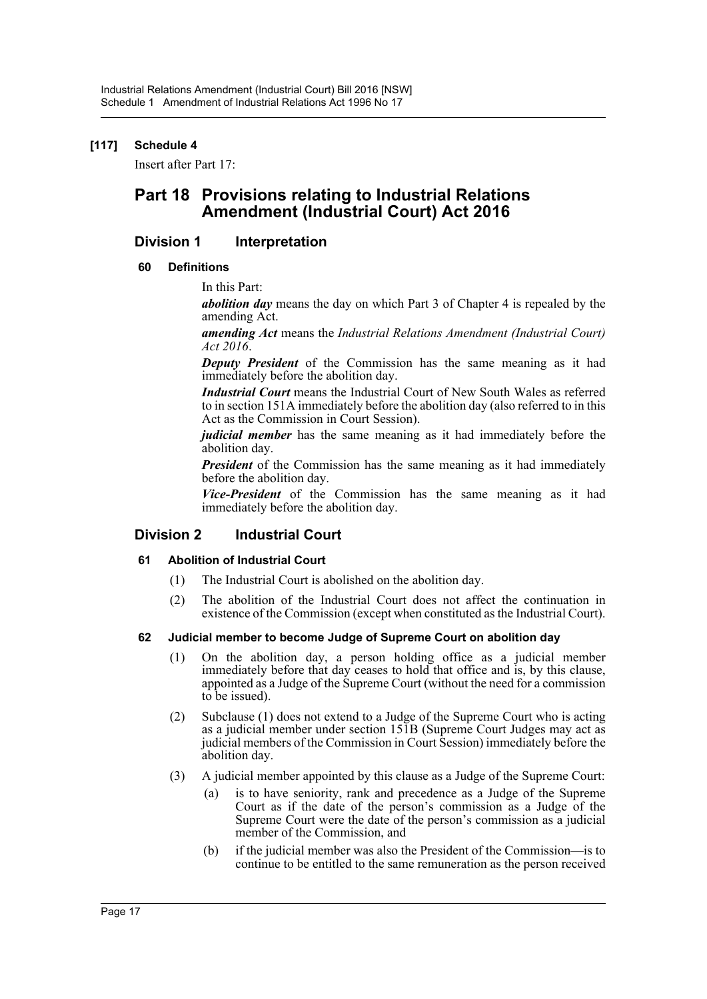## **[117] Schedule 4**

Insert after Part 17:

## **Part 18 Provisions relating to Industrial Relations Amendment (Industrial Court) Act 2016**

## **Division 1 Interpretation**

### **60 Definitions**

In this Part:

*abolition day* means the day on which Part 3 of Chapter 4 is repealed by the amending Act.

*amending Act* means the *Industrial Relations Amendment (Industrial Court) Act 2016*.

*Deputy President* of the Commission has the same meaning as it had immediately before the abolition day.

*Industrial Court* means the Industrial Court of New South Wales as referred to in section 151A immediately before the abolition day (also referred to in this Act as the Commission in Court Session).

*judicial member* has the same meaning as it had immediately before the abolition day.

*President* of the Commission has the same meaning as it had immediately before the abolition day.

*Vice-President* of the Commission has the same meaning as it had immediately before the abolition day.

## **Division 2 Industrial Court**

#### **61 Abolition of Industrial Court**

- (1) The Industrial Court is abolished on the abolition day.
- (2) The abolition of the Industrial Court does not affect the continuation in existence of the Commission (except when constituted as the Industrial Court).

#### **62 Judicial member to become Judge of Supreme Court on abolition day**

- (1) On the abolition day, a person holding office as a judicial member immediately before that day ceases to hold that office and is, by this clause, appointed as a Judge of the Supreme Court (without the need for a commission to be issued).
- (2) Subclause (1) does not extend to a Judge of the Supreme Court who is acting as a judicial member under section 151B (Supreme Court Judges may act as judicial members of the Commission in Court Session) immediately before the abolition day.
- (3) A judicial member appointed by this clause as a Judge of the Supreme Court:
	- (a) is to have seniority, rank and precedence as a Judge of the Supreme Court as if the date of the person's commission as a Judge of the Supreme Court were the date of the person's commission as a judicial member of the Commission, and
	- (b) if the judicial member was also the President of the Commission—is to continue to be entitled to the same remuneration as the person received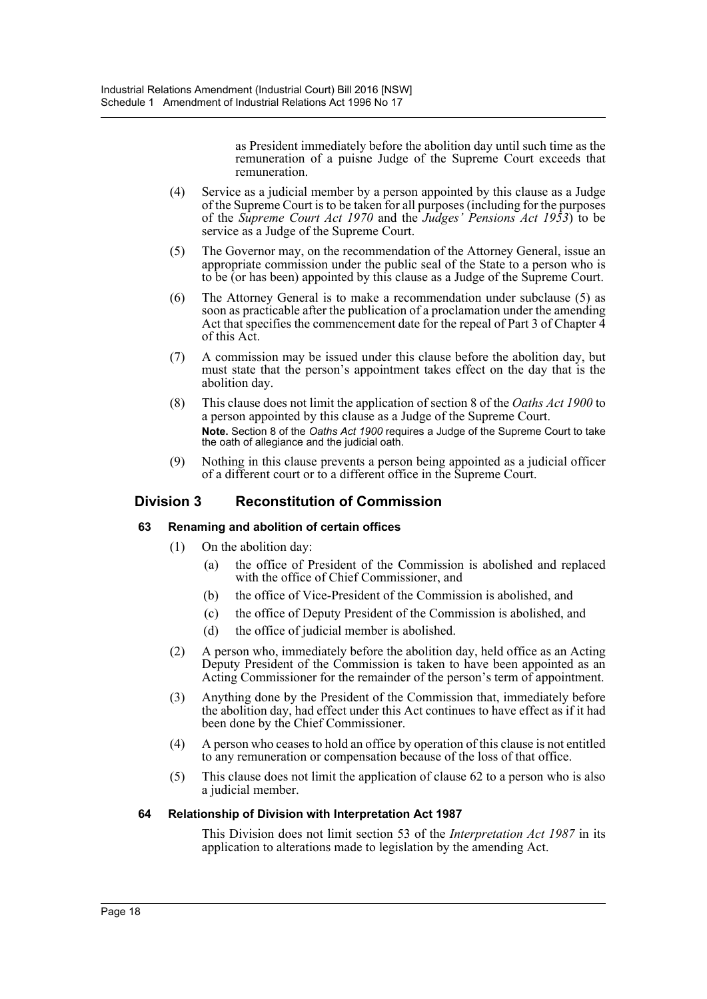as President immediately before the abolition day until such time as the remuneration of a puisne Judge of the Supreme Court exceeds that remuneration.

- (4) Service as a judicial member by a person appointed by this clause as a Judge of the Supreme Court is to be taken for all purposes (including for the purposes of the *Supreme Court Act 1970* and the *Judges' Pensions Act 1953*) to be service as a Judge of the Supreme Court.
- (5) The Governor may, on the recommendation of the Attorney General, issue an appropriate commission under the public seal of the State to a person who is to be (or has been) appointed by this clause as a Judge of the Supreme Court.
- (6) The Attorney General is to make a recommendation under subclause (5) as soon as practicable after the publication of a proclamation under the amending Act that specifies the commencement date for the repeal of Part 3 of Chapter 4 of this Act.
- (7) A commission may be issued under this clause before the abolition day, but must state that the person's appointment takes effect on the day that is the abolition day.
- (8) This clause does not limit the application of section 8 of the *Oaths Act 1900* to a person appointed by this clause as a Judge of the Supreme Court. **Note.** Section 8 of the *Oaths Act 1900* requires a Judge of the Supreme Court to take the oath of allegiance and the judicial oath.
- (9) Nothing in this clause prevents a person being appointed as a judicial officer of a different court or to a different office in the Supreme Court.

## **Division 3 Reconstitution of Commission**

## **63 Renaming and abolition of certain offices**

- (1) On the abolition day:
	- (a) the office of President of the Commission is abolished and replaced with the office of Chief Commissioner, and
	- (b) the office of Vice-President of the Commission is abolished, and
	- (c) the office of Deputy President of the Commission is abolished, and
	- (d) the office of judicial member is abolished.
- (2) A person who, immediately before the abolition day, held office as an Acting Deputy President of the Commission is taken to have been appointed as an Acting Commissioner for the remainder of the person's term of appointment.
- (3) Anything done by the President of the Commission that, immediately before the abolition day, had effect under this Act continues to have effect as if it had been done by the Chief Commissioner.
- (4) A person who ceases to hold an office by operation of this clause is not entitled to any remuneration or compensation because of the loss of that office.
- (5) This clause does not limit the application of clause 62 to a person who is also a judicial member.

#### **64 Relationship of Division with Interpretation Act 1987**

This Division does not limit section 53 of the *Interpretation Act 1987* in its application to alterations made to legislation by the amending Act.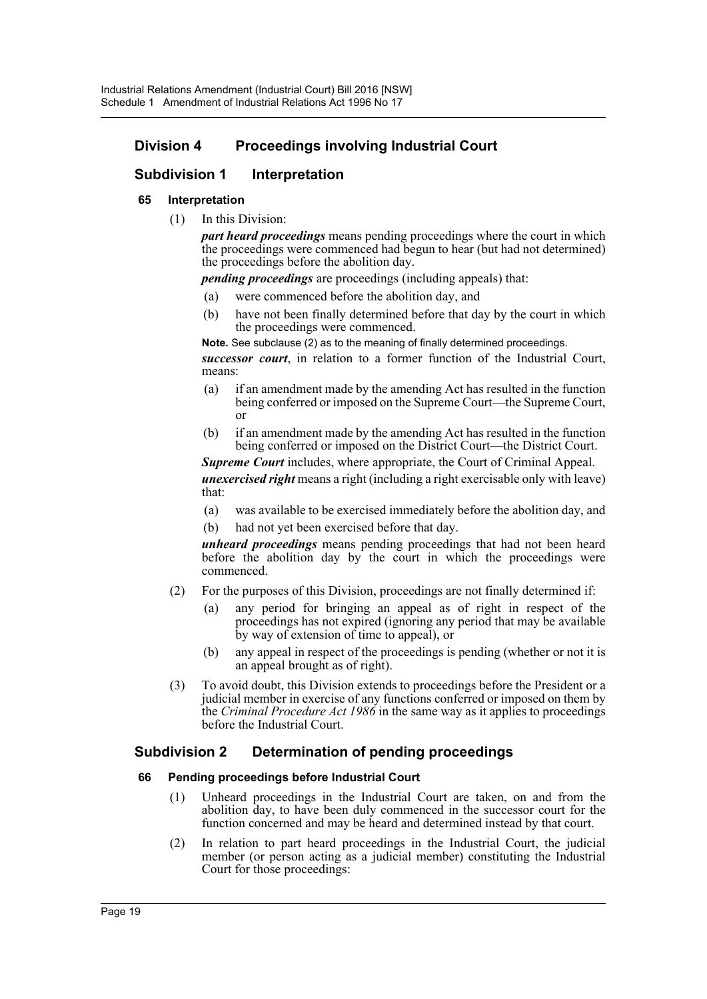## **Division 4 Proceedings involving Industrial Court**

## **Subdivision 1 Interpretation**

#### **65 Interpretation**

(1) In this Division:

*part heard proceedings* means pending proceedings where the court in which the proceedings were commenced had begun to hear (but had not determined) the proceedings before the abolition day.

*pending proceedings* are proceedings (including appeals) that:

- (a) were commenced before the abolition day, and
- (b) have not been finally determined before that day by the court in which the proceedings were commenced.

**Note.** See subclause (2) as to the meaning of finally determined proceedings. *successor court*, in relation to a former function of the Industrial Court, means:

- (a) if an amendment made by the amending Act has resulted in the function being conferred or imposed on the Supreme Court—the Supreme Court, or
- (b) if an amendment made by the amending Act has resulted in the function being conferred or imposed on the District Court—the District Court.

*Supreme Court* includes, where appropriate, the Court of Criminal Appeal. *unexercised right* means a right (including a right exercisable only with leave) that:

- (a) was available to be exercised immediately before the abolition day, and
- (b) had not yet been exercised before that day.

*unheard proceedings* means pending proceedings that had not been heard before the abolition day by the court in which the proceedings were commenced.

- (2) For the purposes of this Division, proceedings are not finally determined if:
	- (a) any period for bringing an appeal as of right in respect of the proceedings has not expired (ignoring any period that may be available by way of extension of time to appeal), or
	- (b) any appeal in respect of the proceedings is pending (whether or not it is an appeal brought as of right).
- (3) To avoid doubt, this Division extends to proceedings before the President or a judicial member in exercise of any functions conferred or imposed on them by the *Criminal Procedure Act 1986* in the same way as it applies to proceedings before the Industrial Court.

## **Subdivision 2 Determination of pending proceedings**

#### **66 Pending proceedings before Industrial Court**

- (1) Unheard proceedings in the Industrial Court are taken, on and from the abolition day, to have been duly commenced in the successor court for the function concerned and may be heard and determined instead by that court.
- (2) In relation to part heard proceedings in the Industrial Court, the judicial member (or person acting as a judicial member) constituting the Industrial Court for those proceedings: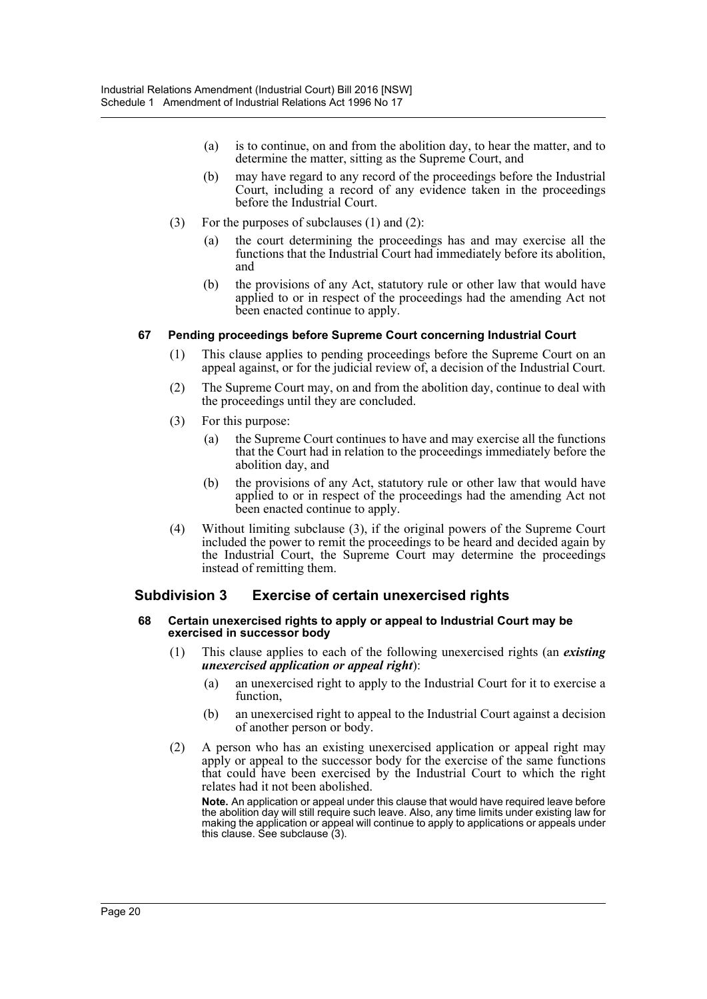- (a) is to continue, on and from the abolition day, to hear the matter, and to determine the matter, sitting as the Supreme Court, and
- (b) may have regard to any record of the proceedings before the Industrial Court, including a record of any evidence taken in the proceedings before the Industrial Court.
- (3) For the purposes of subclauses (1) and (2):
	- (a) the court determining the proceedings has and may exercise all the functions that the Industrial Court had immediately before its abolition, and
	- (b) the provisions of any Act, statutory rule or other law that would have applied to or in respect of the proceedings had the amending Act not been enacted continue to apply.

#### **67 Pending proceedings before Supreme Court concerning Industrial Court**

- (1) This clause applies to pending proceedings before the Supreme Court on an appeal against, or for the judicial review of, a decision of the Industrial Court.
- (2) The Supreme Court may, on and from the abolition day, continue to deal with the proceedings until they are concluded.
- (3) For this purpose:
	- (a) the Supreme Court continues to have and may exercise all the functions that the Court had in relation to the proceedings immediately before the abolition day, and
	- (b) the provisions of any Act, statutory rule or other law that would have applied to or in respect of the proceedings had the amending Act not been enacted continue to apply.
- (4) Without limiting subclause (3), if the original powers of the Supreme Court included the power to remit the proceedings to be heard and decided again by the Industrial Court, the Supreme Court may determine the proceedings instead of remitting them.

## **Subdivision 3 Exercise of certain unexercised rights**

#### **68 Certain unexercised rights to apply or appeal to Industrial Court may be exercised in successor body**

- (1) This clause applies to each of the following unexercised rights (an *existing unexercised application or appeal right*):
	- (a) an unexercised right to apply to the Industrial Court for it to exercise a function,
	- (b) an unexercised right to appeal to the Industrial Court against a decision of another person or body.
- (2) A person who has an existing unexercised application or appeal right may apply or appeal to the successor body for the exercise of the same functions that could have been exercised by the Industrial Court to which the right relates had it not been abolished.

**Note.** An application or appeal under this clause that would have required leave before the abolition day will still require such leave. Also, any time limits under existing law for making the application or appeal will continue to apply to applications or appeals under this clause. See subclause (3).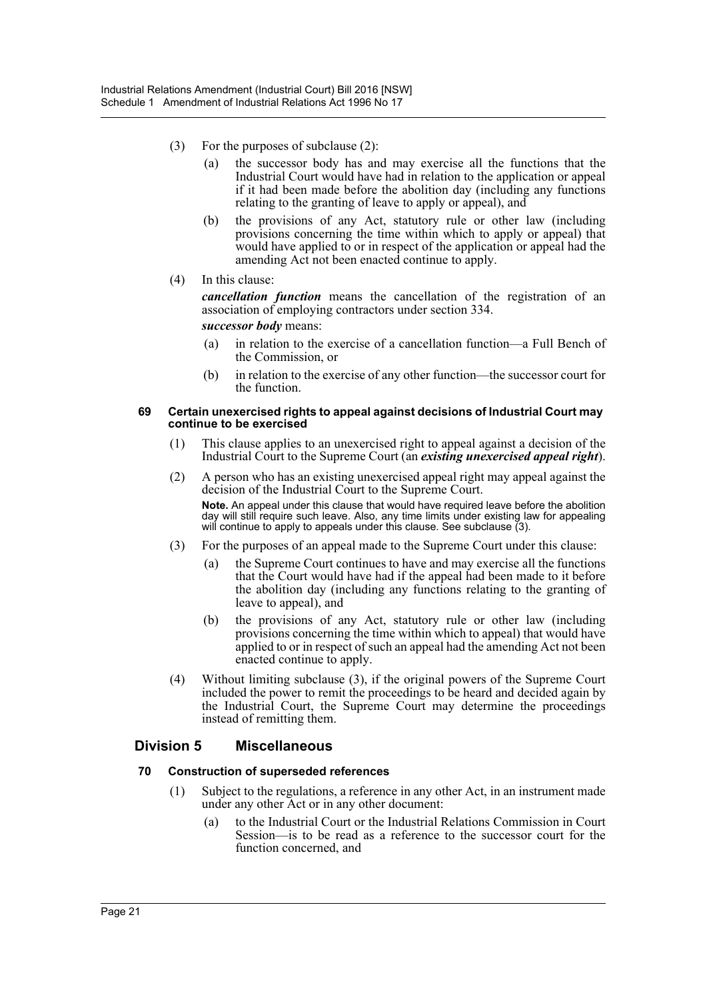- (3) For the purposes of subclause (2):
	- (a) the successor body has and may exercise all the functions that the Industrial Court would have had in relation to the application or appeal if it had been made before the abolition day (including any functions relating to the granting of leave to apply or appeal), and
	- (b) the provisions of any Act, statutory rule or other law (including provisions concerning the time within which to apply or appeal) that would have applied to or in respect of the application or appeal had the amending Act not been enacted continue to apply.
- (4) In this clause:

*cancellation function* means the cancellation of the registration of an association of employing contractors under section 334.

*successor body* means:

- (a) in relation to the exercise of a cancellation function—a Full Bench of the Commission, or
- (b) in relation to the exercise of any other function—the successor court for the function.

#### **69 Certain unexercised rights to appeal against decisions of Industrial Court may continue to be exercised**

- (1) This clause applies to an unexercised right to appeal against a decision of the Industrial Court to the Supreme Court (an *existing unexercised appeal right*).
- (2) A person who has an existing unexercised appeal right may appeal against the decision of the Industrial Court to the Supreme Court.

**Note.** An appeal under this clause that would have required leave before the abolition day will still require such leave. Also, any time limits under existing law for appealing will continue to apply to appeals under this clause. See subclause (3).

- (3) For the purposes of an appeal made to the Supreme Court under this clause:
	- (a) the Supreme Court continues to have and may exercise all the functions that the Court would have had if the appeal had been made to it before the abolition day (including any functions relating to the granting of leave to appeal), and
	- (b) the provisions of any Act, statutory rule or other law (including provisions concerning the time within which to appeal) that would have applied to or in respect of such an appeal had the amending Act not been enacted continue to apply.
- (4) Without limiting subclause (3), if the original powers of the Supreme Court included the power to remit the proceedings to be heard and decided again by the Industrial Court, the Supreme Court may determine the proceedings instead of remitting them.

## **Division 5 Miscellaneous**

#### **70 Construction of superseded references**

- (1) Subject to the regulations, a reference in any other Act, in an instrument made under any other Act or in any other document:
	- (a) to the Industrial Court or the Industrial Relations Commission in Court Session—is to be read as a reference to the successor court for the function concerned, and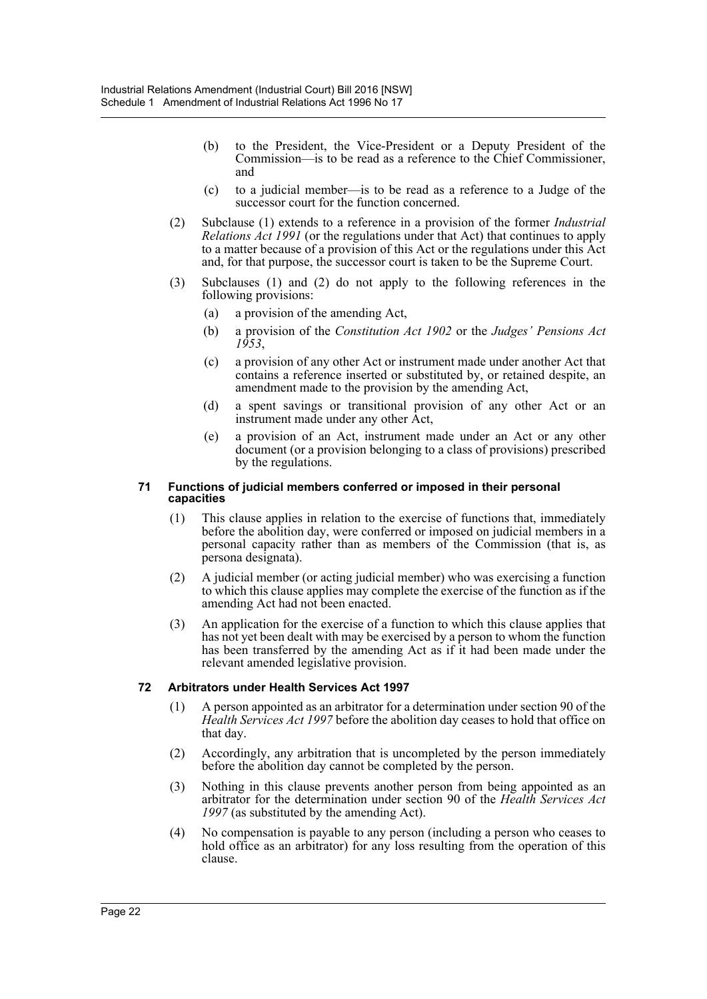- (b) to the President, the Vice-President or a Deputy President of the Commission—is to be read as a reference to the Chief Commissioner, and
- (c) to a judicial member—is to be read as a reference to a Judge of the successor court for the function concerned.
- (2) Subclause (1) extends to a reference in a provision of the former *Industrial Relations Act 1991* (or the regulations under that Act) that continues to apply to a matter because of a provision of this Act or the regulations under this Act and, for that purpose, the successor court is taken to be the Supreme Court.
- (3) Subclauses (1) and (2) do not apply to the following references in the following provisions:
	- (a) a provision of the amending Act,
	- (b) a provision of the *Constitution Act 1902* or the *Judges' Pensions Act 1953*,
	- (c) a provision of any other Act or instrument made under another Act that contains a reference inserted or substituted by, or retained despite, an amendment made to the provision by the amending Act,
	- (d) a spent savings or transitional provision of any other Act or an instrument made under any other Act,
	- (e) a provision of an Act, instrument made under an Act or any other document (or a provision belonging to a class of provisions) prescribed by the regulations.

#### **71 Functions of judicial members conferred or imposed in their personal capacities**

- (1) This clause applies in relation to the exercise of functions that, immediately before the abolition day, were conferred or imposed on judicial members in a personal capacity rather than as members of the Commission (that is, as persona designata).
- (2) A judicial member (or acting judicial member) who was exercising a function to which this clause applies may complete the exercise of the function as if the amending Act had not been enacted.
- (3) An application for the exercise of a function to which this clause applies that has not yet been dealt with may be exercised by a person to whom the function has been transferred by the amending Act as if it had been made under the relevant amended legislative provision.

#### **72 Arbitrators under Health Services Act 1997**

- (1) A person appointed as an arbitrator for a determination under section 90 of the *Health Services Act 1997* before the abolition day ceases to hold that office on that day.
- (2) Accordingly, any arbitration that is uncompleted by the person immediately before the abolition day cannot be completed by the person.
- (3) Nothing in this clause prevents another person from being appointed as an arbitrator for the determination under section 90 of the *Health Services Act 1997* (as substituted by the amending Act).
- (4) No compensation is payable to any person (including a person who ceases to hold office as an arbitrator) for any loss resulting from the operation of this clause.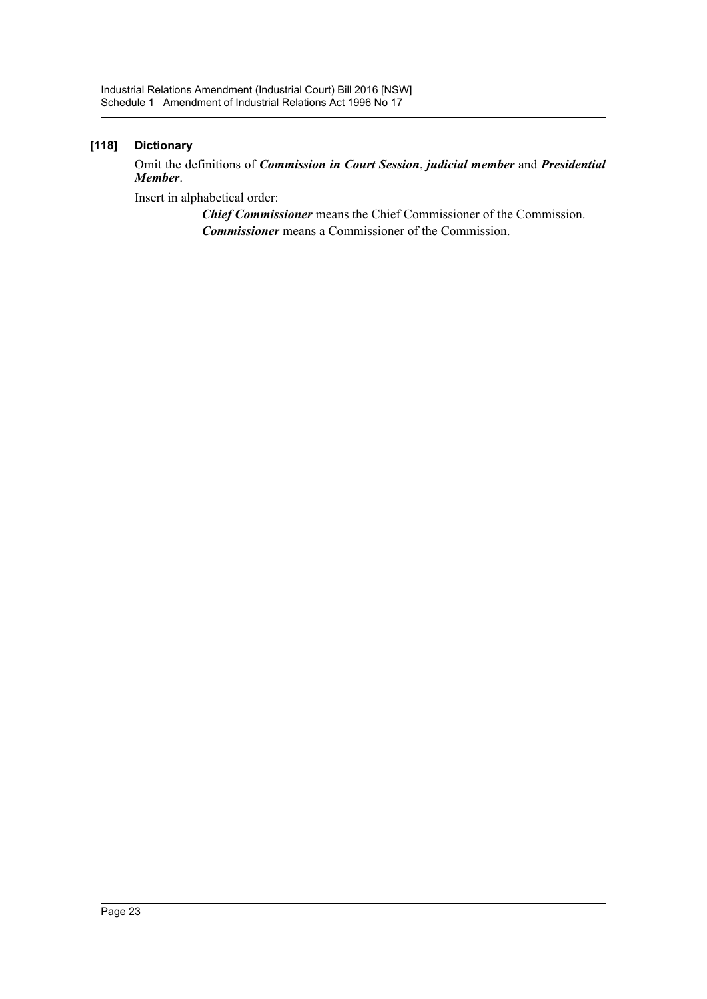## **[118] Dictionary**

Omit the definitions of *Commission in Court Session*, *judicial member* and *Presidential Member*.

Insert in alphabetical order:

*Chief Commissioner* means the Chief Commissioner of the Commission. *Commissioner* means a Commissioner of the Commission.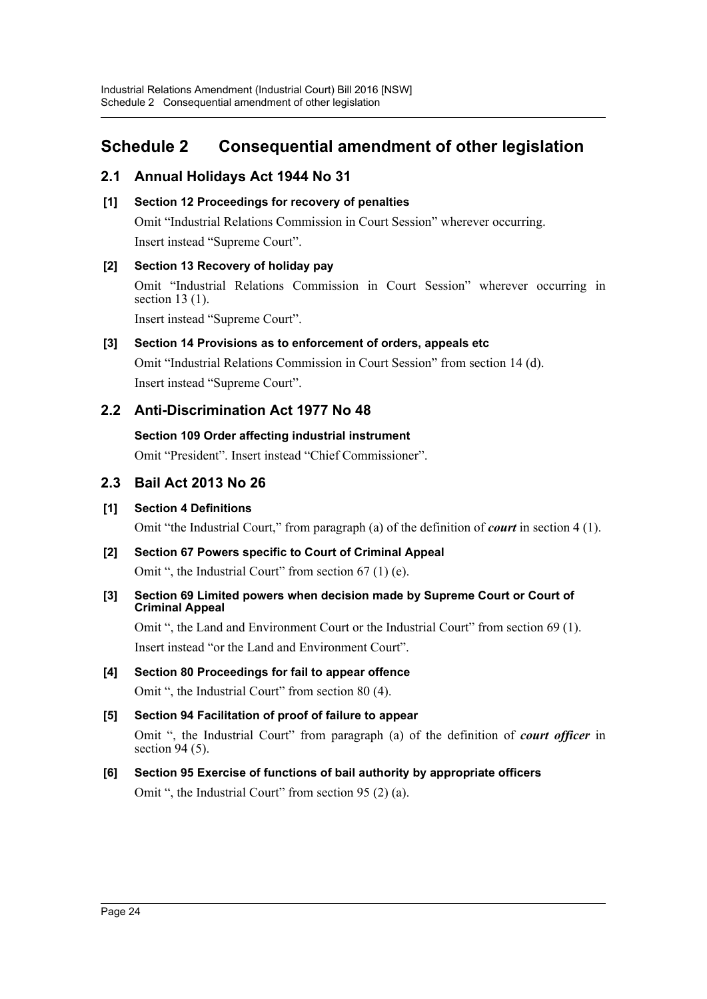## <span id="page-24-0"></span>**Schedule 2 Consequential amendment of other legislation**

## **2.1 Annual Holidays Act 1944 No 31**

## **[1] Section 12 Proceedings for recovery of penalties**

Omit "Industrial Relations Commission in Court Session" wherever occurring. Insert instead "Supreme Court".

## **[2] Section 13 Recovery of holiday pay**

Omit "Industrial Relations Commission in Court Session" wherever occurring in section 13 (1).

Insert instead "Supreme Court".

## **[3] Section 14 Provisions as to enforcement of orders, appeals etc**

Omit "Industrial Relations Commission in Court Session" from section 14 (d). Insert instead "Supreme Court".

## **2.2 Anti-Discrimination Act 1977 No 48**

## **Section 109 Order affecting industrial instrument**

Omit "President". Insert instead "Chief Commissioner".

## **2.3 Bail Act 2013 No 26**

## **[1] Section 4 Definitions**

Omit "the Industrial Court," from paragraph (a) of the definition of *court* in section 4 (1).

- **[2] Section 67 Powers specific to Court of Criminal Appeal** Omit ", the Industrial Court" from section 67 (1) (e).
- **[3] Section 69 Limited powers when decision made by Supreme Court or Court of Criminal Appeal**

Omit ", the Land and Environment Court or the Industrial Court" from section 69 (1). Insert instead "or the Land and Environment Court".

# **[4] Section 80 Proceedings for fail to appear offence**

Omit ", the Industrial Court" from section 80 (4).

## **[5] Section 94 Facilitation of proof of failure to appear**

Omit ", the Industrial Court" from paragraph (a) of the definition of *court officer* in section 94 (5).

## **[6] Section 95 Exercise of functions of bail authority by appropriate officers** Omit ", the Industrial Court" from section 95 (2) (a).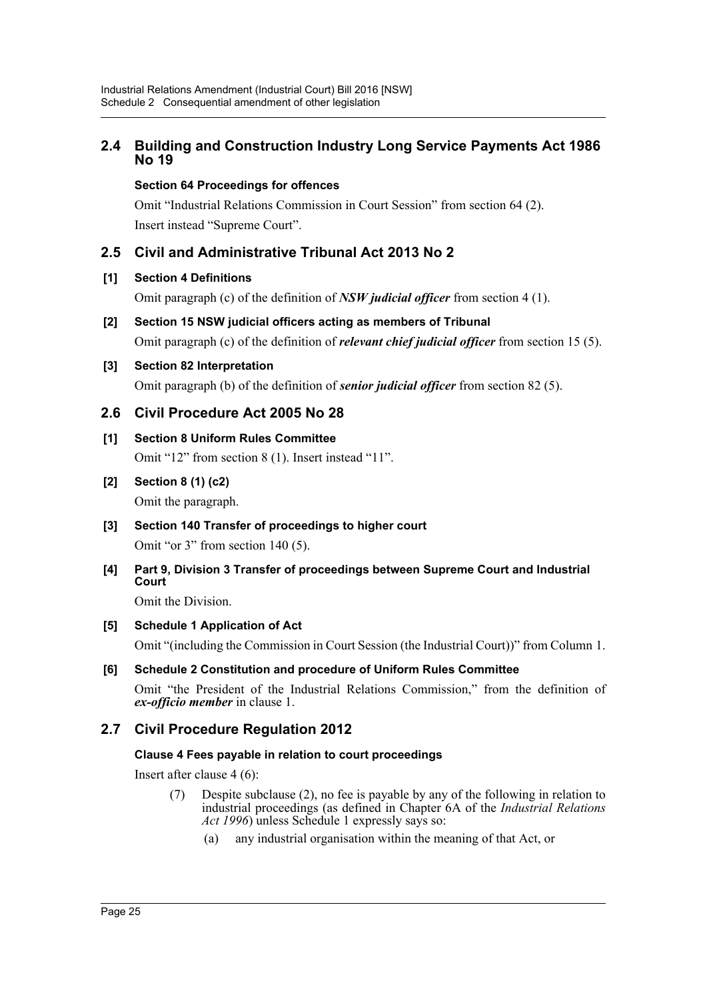## **2.4 Building and Construction Industry Long Service Payments Act 1986 No 19**

## **Section 64 Proceedings for offences**

Omit "Industrial Relations Commission in Court Session" from section 64 (2). Insert instead "Supreme Court".

## **2.5 Civil and Administrative Tribunal Act 2013 No 2**

## **[1] Section 4 Definitions**

Omit paragraph (c) of the definition of *NSW judicial officer* from section 4 (1).

## **[2] Section 15 NSW judicial officers acting as members of Tribunal** Omit paragraph (c) of the definition of *relevant chief judicial officer* from section 15 (5).

## **[3] Section 82 Interpretation**

Omit paragraph (b) of the definition of *senior judicial officer* from section 82 (5).

## **2.6 Civil Procedure Act 2005 No 28**

**[1] Section 8 Uniform Rules Committee** Omit "12" from section 8 (1). Insert instead "11".

## **[2] Section 8 (1) (c2)**

Omit the paragraph.

**[3] Section 140 Transfer of proceedings to higher court** Omit "or 3" from section 140 (5).

## **[4] Part 9, Division 3 Transfer of proceedings between Supreme Court and Industrial Court**

Omit the Division.

## **[5] Schedule 1 Application of Act**

Omit "(including the Commission in Court Session (the Industrial Court))" from Column 1.

## **[6] Schedule 2 Constitution and procedure of Uniform Rules Committee**

Omit "the President of the Industrial Relations Commission," from the definition of *ex-officio member* in clause 1.

## **2.7 Civil Procedure Regulation 2012**

## **Clause 4 Fees payable in relation to court proceedings**

Insert after clause 4 (6):

- (7) Despite subclause (2), no fee is payable by any of the following in relation to industrial proceedings (as defined in Chapter 6A of the *Industrial Relations Act 1996*) unless Schedule 1 expressly says so:
	- (a) any industrial organisation within the meaning of that Act, or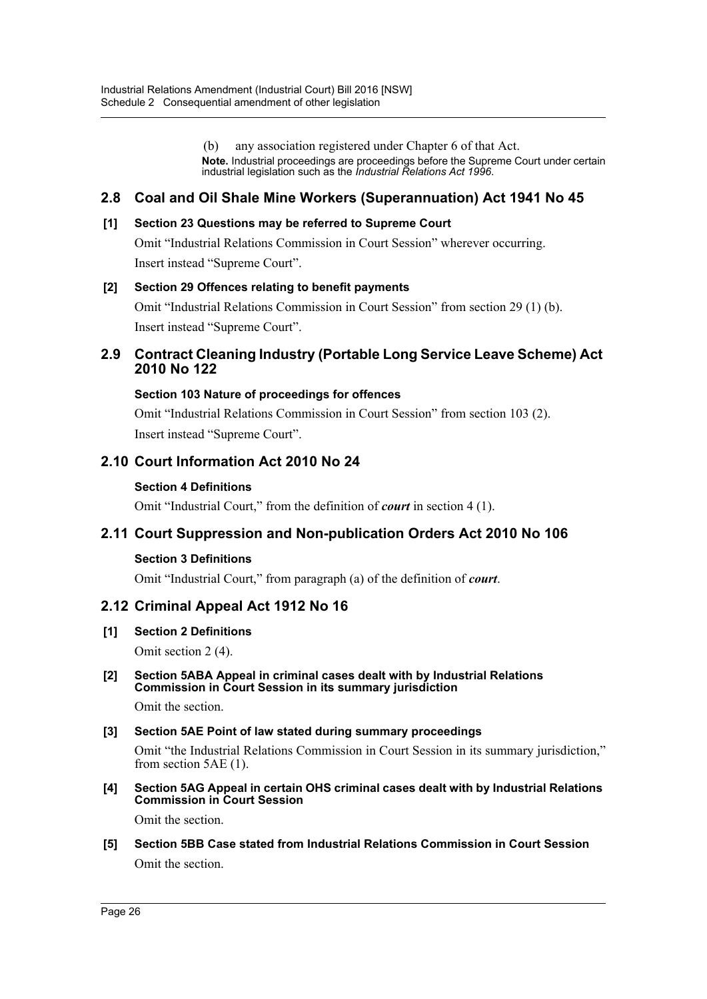(b) any association registered under Chapter 6 of that Act. **Note.** Industrial proceedings are proceedings before the Supreme Court under certain industrial legislation such as the *Industrial Relations Act 1996*.

## **2.8 Coal and Oil Shale Mine Workers (Superannuation) Act 1941 No 45**

## **[1] Section 23 Questions may be referred to Supreme Court**

Omit "Industrial Relations Commission in Court Session" wherever occurring. Insert instead "Supreme Court".

### **[2] Section 29 Offences relating to benefit payments**

Omit "Industrial Relations Commission in Court Session" from section 29 (1) (b). Insert instead "Supreme Court".

## **2.9 Contract Cleaning Industry (Portable Long Service Leave Scheme) Act 2010 No 122**

## **Section 103 Nature of proceedings for offences**

Omit "Industrial Relations Commission in Court Session" from section 103 (2). Insert instead "Supreme Court".

## **2.10 Court Information Act 2010 No 24**

### **Section 4 Definitions**

Omit "Industrial Court," from the definition of *court* in section 4 (1).

## **2.11 Court Suppression and Non-publication Orders Act 2010 No 106**

#### **Section 3 Definitions**

Omit "Industrial Court," from paragraph (a) of the definition of *court*.

## **2.12 Criminal Appeal Act 1912 No 16**

**[1] Section 2 Definitions**

Omit section 2 (4).

### **[2] Section 5ABA Appeal in criminal cases dealt with by Industrial Relations Commission in Court Session in its summary jurisdiction**

Omit the section.

## **[3] Section 5AE Point of law stated during summary proceedings**

Omit "the Industrial Relations Commission in Court Session in its summary jurisdiction," from section 5AE (1).

**[4] Section 5AG Appeal in certain OHS criminal cases dealt with by Industrial Relations Commission in Court Session**

Omit the section.

## **[5] Section 5BB Case stated from Industrial Relations Commission in Court Session**

Omit the section.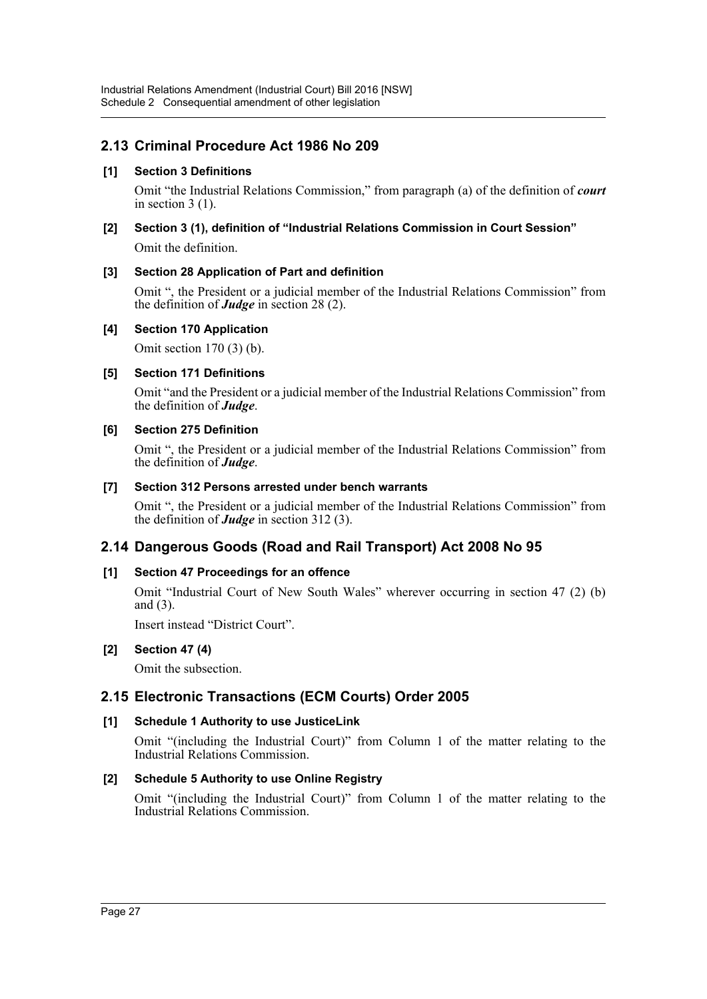## **2.13 Criminal Procedure Act 1986 No 209**

## **[1] Section 3 Definitions**

Omit "the Industrial Relations Commission," from paragraph (a) of the definition of *court* in section 3 (1).

# **[2] Section 3 (1), definition of "Industrial Relations Commission in Court Session"**

Omit the definition.

## **[3] Section 28 Application of Part and definition**

Omit ", the President or a judicial member of the Industrial Relations Commission" from the definition of *Judge* in section 28 (2).

## **[4] Section 170 Application**

Omit section 170 (3) (b).

## **[5] Section 171 Definitions**

Omit "and the President or a judicial member of the Industrial Relations Commission" from the definition of *Judge*.

## **[6] Section 275 Definition**

Omit ", the President or a judicial member of the Industrial Relations Commission" from the definition of *Judge*.

## **[7] Section 312 Persons arrested under bench warrants**

Omit ", the President or a judicial member of the Industrial Relations Commission" from the definition of *Judge* in section 312 (3).

## **2.14 Dangerous Goods (Road and Rail Transport) Act 2008 No 95**

## **[1] Section 47 Proceedings for an offence**

Omit "Industrial Court of New South Wales" wherever occurring in section 47 (2) (b) and (3).

Insert instead "District Court".

## **[2] Section 47 (4)**

Omit the subsection.

## **2.15 Electronic Transactions (ECM Courts) Order 2005**

## **[1] Schedule 1 Authority to use JusticeLink**

Omit "(including the Industrial Court)" from Column 1 of the matter relating to the Industrial Relations Commission.

## **[2] Schedule 5 Authority to use Online Registry**

Omit "(including the Industrial Court)" from Column 1 of the matter relating to the Industrial Relations Commission.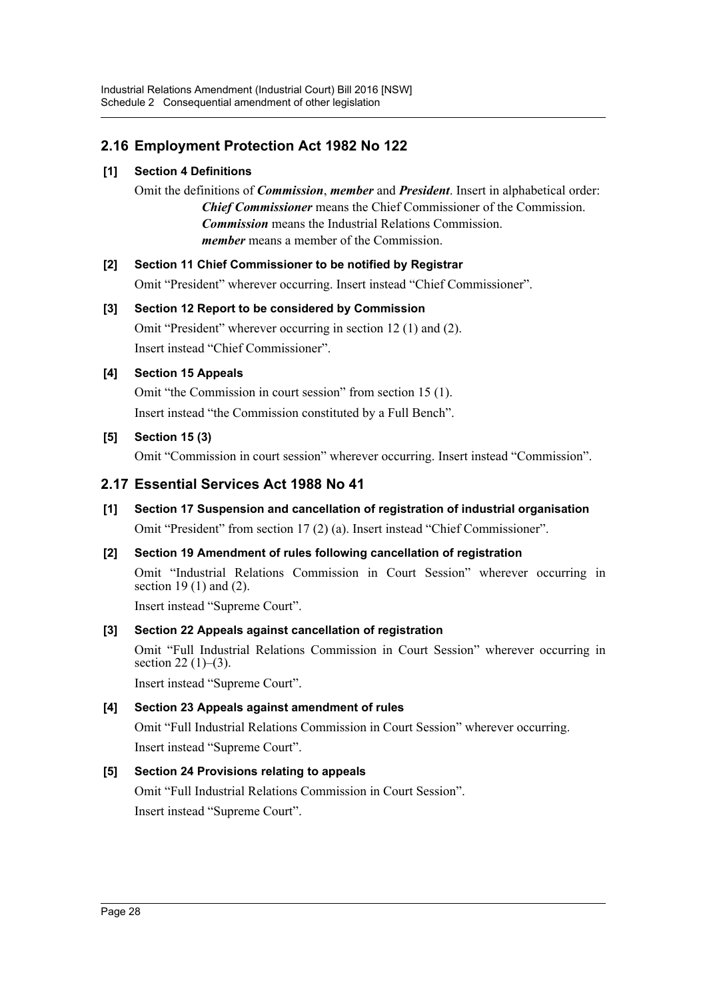## **2.16 Employment Protection Act 1982 No 122**

## **[1] Section 4 Definitions**

Omit the definitions of *Commission*, *member* and *President*. Insert in alphabetical order: *Chief Commissioner* means the Chief Commissioner of the Commission. *Commission* means the Industrial Relations Commission. *member* means a member of the Commission.

## **[2] Section 11 Chief Commissioner to be notified by Registrar**

Omit "President" wherever occurring. Insert instead "Chief Commissioner".

## **[3] Section 12 Report to be considered by Commission**

Omit "President" wherever occurring in section 12 (1) and (2). Insert instead "Chief Commissioner".

## **[4] Section 15 Appeals**

Omit "the Commission in court session" from section 15 (1). Insert instead "the Commission constituted by a Full Bench".

## **[5] Section 15 (3)**

Omit "Commission in court session" wherever occurring. Insert instead "Commission".

## **2.17 Essential Services Act 1988 No 41**

**[1] Section 17 Suspension and cancellation of registration of industrial organisation** Omit "President" from section 17 (2) (a). Insert instead "Chief Commissioner".

## **[2] Section 19 Amendment of rules following cancellation of registration** Omit "Industrial Relations Commission in Court Session" wherever occurring in section 19 (1) and (2).

Insert instead "Supreme Court".

## **[3] Section 22 Appeals against cancellation of registration**

Omit "Full Industrial Relations Commission in Court Session" wherever occurring in section  $22(1)–(3)$ .

Insert instead "Supreme Court".

## **[4] Section 23 Appeals against amendment of rules**

Omit "Full Industrial Relations Commission in Court Session" wherever occurring. Insert instead "Supreme Court".

## **[5] Section 24 Provisions relating to appeals**

Omit "Full Industrial Relations Commission in Court Session". Insert instead "Supreme Court".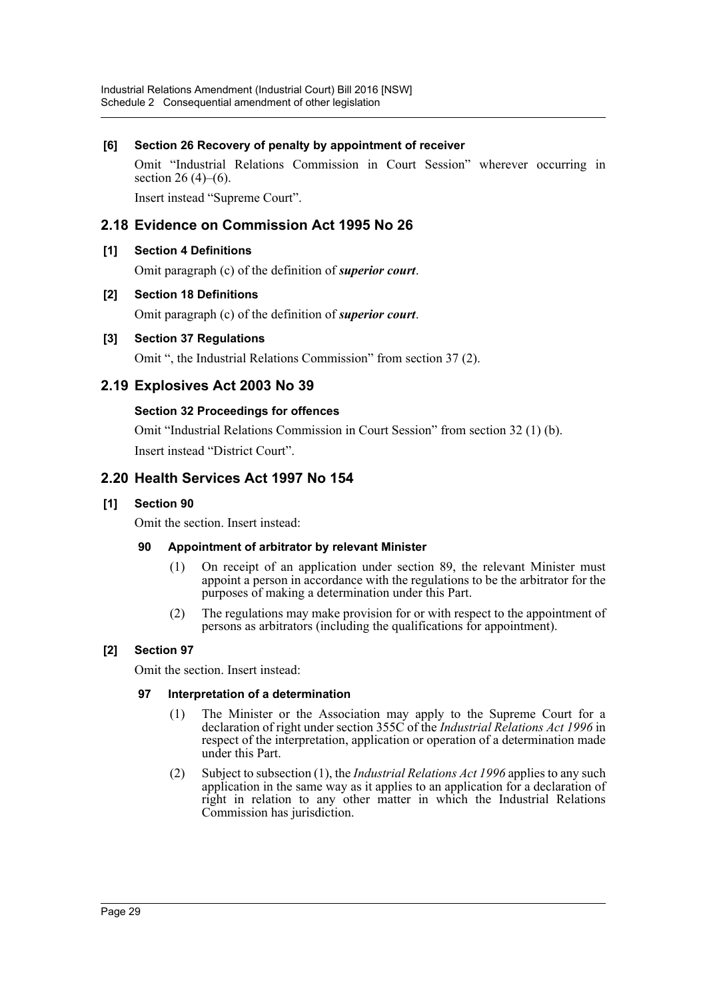## **[6] Section 26 Recovery of penalty by appointment of receiver**

Omit "Industrial Relations Commission in Court Session" wherever occurring in section 26  $(4)$ – $(6)$ .

Insert instead "Supreme Court".

## **2.18 Evidence on Commission Act 1995 No 26**

## **[1] Section 4 Definitions**

Omit paragraph (c) of the definition of *superior court*.

## **[2] Section 18 Definitions**

Omit paragraph (c) of the definition of *superior court*.

## **[3] Section 37 Regulations**

Omit ", the Industrial Relations Commission" from section 37 (2).

## **2.19 Explosives Act 2003 No 39**

## **Section 32 Proceedings for offences**

Omit "Industrial Relations Commission in Court Session" from section 32 (1) (b). Insert instead "District Court".

## **2.20 Health Services Act 1997 No 154**

## **[1] Section 90**

Omit the section. Insert instead:

## **90 Appointment of arbitrator by relevant Minister**

- (1) On receipt of an application under section 89, the relevant Minister must appoint a person in accordance with the regulations to be the arbitrator for the purposes of making a determination under this Part.
- (2) The regulations may make provision for or with respect to the appointment of persons as arbitrators (including the qualifications for appointment).

## **[2] Section 97**

Omit the section. Insert instead:

## **97 Interpretation of a determination**

- (1) The Minister or the Association may apply to the Supreme Court for a declaration of right under section 355C of the *Industrial Relations Act 1996* in respect of the interpretation, application or operation of a determination made under this Part.
- (2) Subject to subsection (1), the *Industrial Relations Act 1996* applies to any such application in the same way as it applies to an application for a declaration of right in relation to any other matter in which the Industrial Relations Commission has jurisdiction.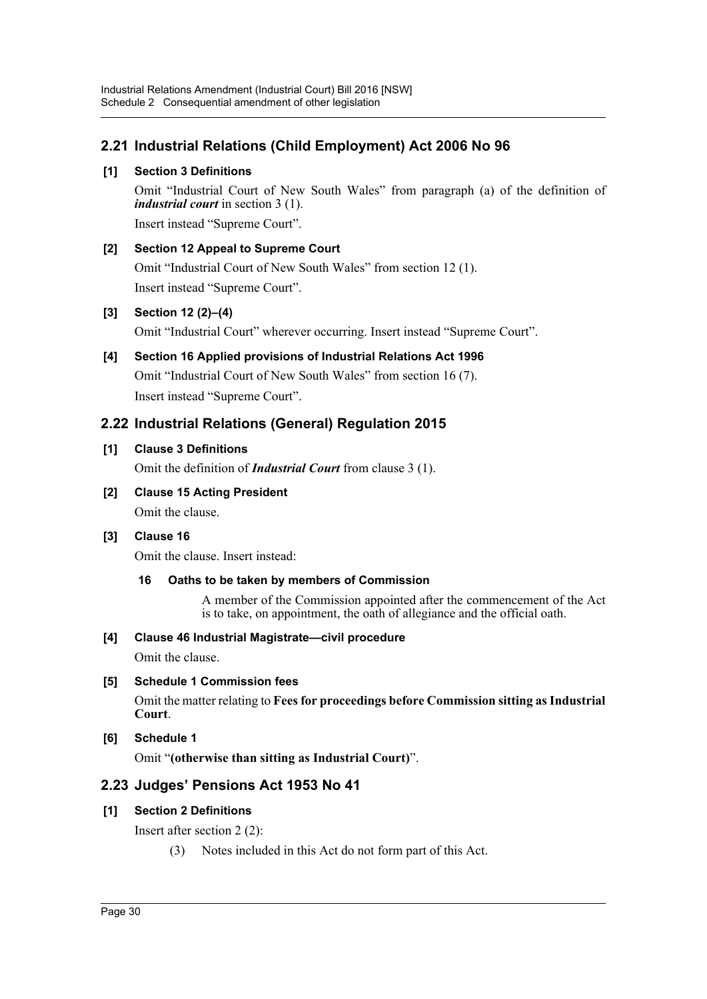## **2.21 Industrial Relations (Child Employment) Act 2006 No 96**

## **[1] Section 3 Definitions**

Omit "Industrial Court of New South Wales" from paragraph (a) of the definition of *industrial court* in section 3 (1).

Insert instead "Supreme Court".

## **[2] Section 12 Appeal to Supreme Court**

Omit "Industrial Court of New South Wales" from section 12 (1). Insert instead "Supreme Court".

## **[3] Section 12 (2)–(4)**

Omit "Industrial Court" wherever occurring. Insert instead "Supreme Court".

## **[4] Section 16 Applied provisions of Industrial Relations Act 1996** Omit "Industrial Court of New South Wales" from section 16 (7). Insert instead "Supreme Court".

## **2.22 Industrial Relations (General) Regulation 2015**

## **[1] Clause 3 Definitions**

Omit the definition of *Industrial Court* from clause 3 (1).

**[2] Clause 15 Acting President** Omit the clause.

## **[3] Clause 16**

Omit the clause. Insert instead:

## **16 Oaths to be taken by members of Commission**

A member of the Commission appointed after the commencement of the Act is to take, on appointment, the oath of allegiance and the official oath.

## **[4] Clause 46 Industrial Magistrate—civil procedure**

Omit the clause.

## **[5] Schedule 1 Commission fees**

Omit the matter relating to **Fees for proceedings before Commission sitting as Industrial Court**.

## **[6] Schedule 1**

Omit "**(otherwise than sitting as Industrial Court)**".

## **2.23 Judges' Pensions Act 1953 No 41**

## **[1] Section 2 Definitions**

Insert after section 2 (2):

(3) Notes included in this Act do not form part of this Act.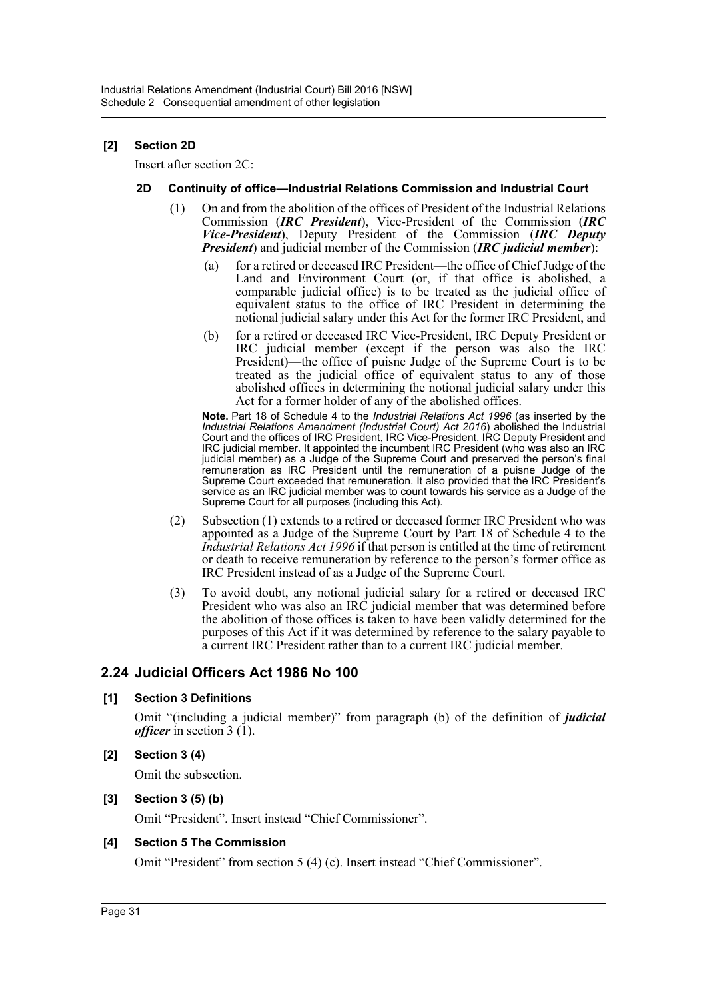## **[2] Section 2D**

Insert after section 2C:

#### **2D Continuity of office—Industrial Relations Commission and Industrial Court**

- (1) On and from the abolition of the offices of President of the Industrial Relations Commission (*IRC President*), Vice-President of the Commission (*IRC Vice-President*), Deputy President of the Commission (*IRC Deputy President*) and judicial member of the Commission (*IRC judicial member*):
	- (a) for a retired or deceased IRC President—the office of Chief Judge of the Land and Environment Court (or, if that office is abolished, a comparable judicial office) is to be treated as the judicial office of equivalent status to the office of IRC President in determining the notional judicial salary under this Act for the former IRC President, and
	- (b) for a retired or deceased IRC Vice-President, IRC Deputy President or IRC judicial member (except if the person was also the IRC President)—the office of puisne Judge of the Supreme Court is to be treated as the judicial office of equivalent status to any of those abolished offices in determining the notional judicial salary under this Act for a former holder of any of the abolished offices.

**Note.** Part 18 of Schedule 4 to the *Industrial Relations Act 1996* (as inserted by the *Industrial Relations Amendment (Industrial Court) Act 2016*) abolished the Industrial Court and the offices of IRC President, IRC Vice-President, IRC Deputy President and IRC judicial member. It appointed the incumbent IRC President (who was also an IRC judicial member) as a Judge of the Supreme Court and preserved the person's final remuneration as IRC President until the remuneration of a puisne Judge of the Supreme Court exceeded that remuneration. It also provided that the IRC President's service as an IRC judicial member was to count towards his service as a Judge of the Supreme Court for all purposes (including this Act).

- (2) Subsection (1) extends to a retired or deceased former IRC President who was appointed as a Judge of the Supreme Court by Part 18 of Schedule 4 to the *Industrial Relations Act 1996* if that person is entitled at the time of retirement or death to receive remuneration by reference to the person's former office as IRC President instead of as a Judge of the Supreme Court.
- (3) To avoid doubt, any notional judicial salary for a retired or deceased IRC President who was also an IRC judicial member that was determined before the abolition of those offices is taken to have been validly determined for the purposes of this Act if it was determined by reference to the salary payable to a current IRC President rather than to a current IRC judicial member.

## **2.24 Judicial Officers Act 1986 No 100**

#### **[1] Section 3 Definitions**

Omit "(including a judicial member)" from paragraph (b) of the definition of *judicial officer* in section 3 (1).

#### **[2] Section 3 (4)**

Omit the subsection.

#### **[3] Section 3 (5) (b)**

Omit "President". Insert instead "Chief Commissioner".

#### **[4] Section 5 The Commission**

Omit "President" from section 5 (4) (c). Insert instead "Chief Commissioner".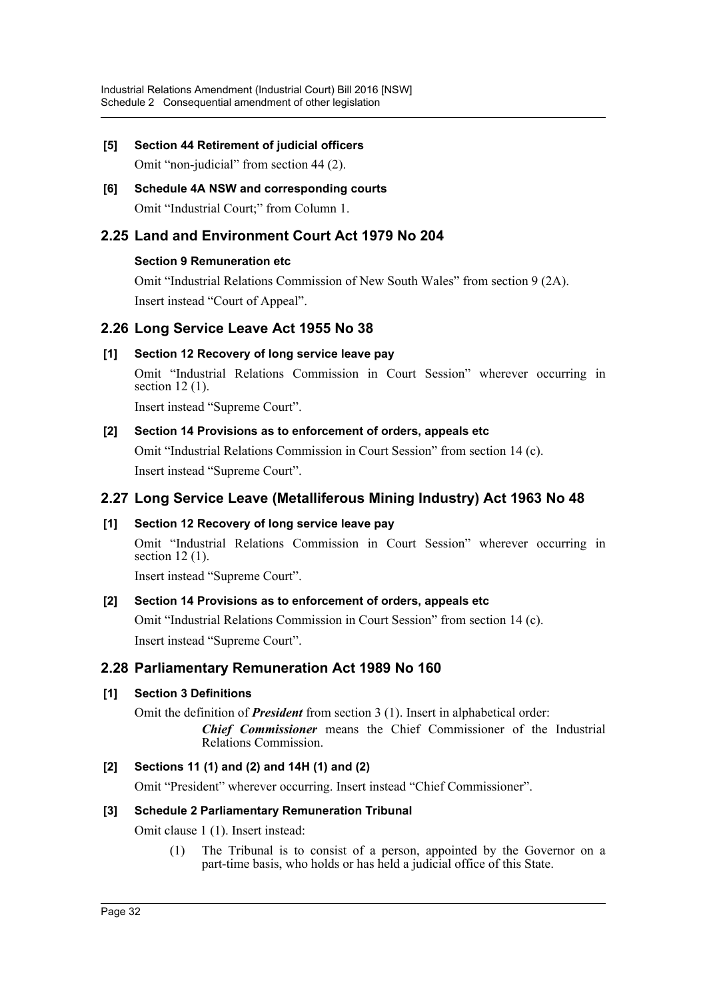# **[5] Section 44 Retirement of judicial officers**

Omit "non-judicial" from section 44 (2).

## **[6] Schedule 4A NSW and corresponding courts** Omit "Industrial Court;" from Column 1.

## **2.25 Land and Environment Court Act 1979 No 204**

## **Section 9 Remuneration etc**

Omit "Industrial Relations Commission of New South Wales" from section 9 (2A). Insert instead "Court of Appeal".

## **2.26 Long Service Leave Act 1955 No 38**

## **[1] Section 12 Recovery of long service leave pay**

Omit "Industrial Relations Commission in Court Session" wherever occurring in section 12 (1).

Insert instead "Supreme Court".

## **[2] Section 14 Provisions as to enforcement of orders, appeals etc**

Omit "Industrial Relations Commission in Court Session" from section 14 (c). Insert instead "Supreme Court".

## **2.27 Long Service Leave (Metalliferous Mining Industry) Act 1963 No 48**

## **[1] Section 12 Recovery of long service leave pay**

Omit "Industrial Relations Commission in Court Session" wherever occurring in section 12 (1).

Insert instead "Supreme Court".

## **[2] Section 14 Provisions as to enforcement of orders, appeals etc**

Omit "Industrial Relations Commission in Court Session" from section 14 (c). Insert instead "Supreme Court".

## **2.28 Parliamentary Remuneration Act 1989 No 160**

## **[1] Section 3 Definitions**

Omit the definition of *President* from section 3 (1). Insert in alphabetical order: *Chief Commissioner* means the Chief Commissioner of the Industrial Relations Commission.

## **[2] Sections 11 (1) and (2) and 14H (1) and (2)**

Omit "President" wherever occurring. Insert instead "Chief Commissioner".

## **[3] Schedule 2 Parliamentary Remuneration Tribunal**

Omit clause 1 (1). Insert instead:

(1) The Tribunal is to consist of a person, appointed by the Governor on a part-time basis, who holds or has held a judicial office of this State.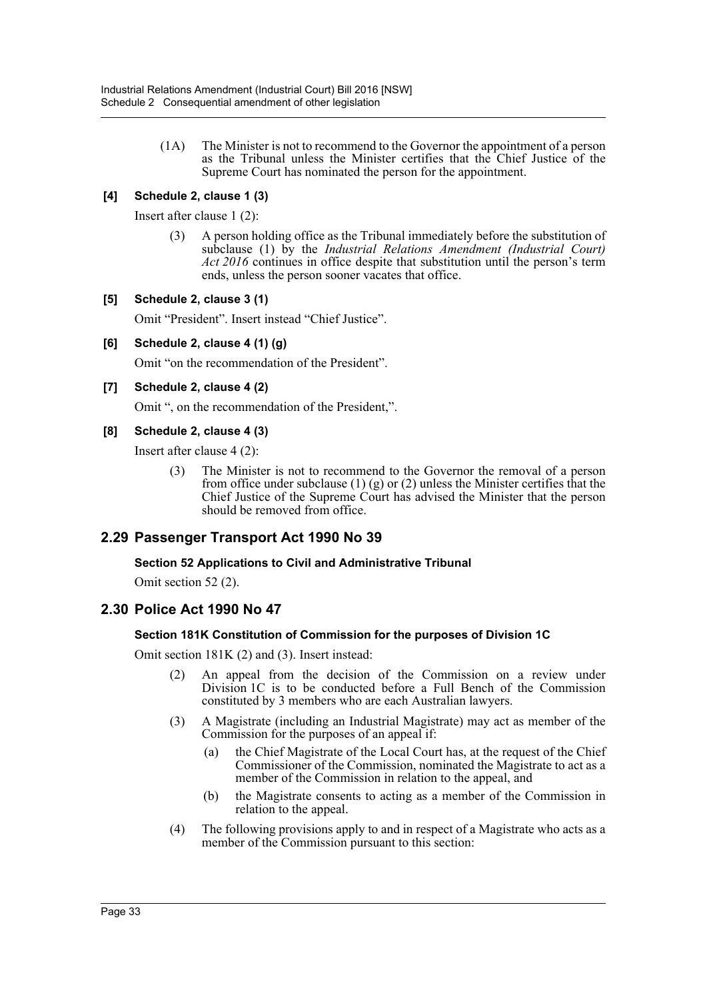(1A) The Minister is not to recommend to the Governor the appointment of a person as the Tribunal unless the Minister certifies that the Chief Justice of the Supreme Court has nominated the person for the appointment.

## **[4] Schedule 2, clause 1 (3)**

Insert after clause 1 (2):

(3) A person holding office as the Tribunal immediately before the substitution of subclause (1) by the *Industrial Relations Amendment (Industrial Court) Act 2016* continues in office despite that substitution until the person's term ends, unless the person sooner vacates that office.

## **[5] Schedule 2, clause 3 (1)**

Omit "President". Insert instead "Chief Justice".

**[6] Schedule 2, clause 4 (1) (g)**

Omit "on the recommendation of the President".

### **[7] Schedule 2, clause 4 (2)**

Omit ", on the recommendation of the President,".

### **[8] Schedule 2, clause 4 (3)**

Insert after clause 4 (2):

(3) The Minister is not to recommend to the Governor the removal of a person from office under subclause (1) (g) or (2) unless the Minister certifies that the Chief Justice of the Supreme Court has advised the Minister that the person should be removed from office.

## **2.29 Passenger Transport Act 1990 No 39**

## **Section 52 Applications to Civil and Administrative Tribunal**

Omit section 52 (2).

## **2.30 Police Act 1990 No 47**

## **Section 181K Constitution of Commission for the purposes of Division 1C**

Omit section 181K (2) and (3). Insert instead:

- (2) An appeal from the decision of the Commission on a review under Division 1C is to be conducted before a Full Bench of the Commission constituted by 3 members who are each Australian lawyers.
- (3) A Magistrate (including an Industrial Magistrate) may act as member of the Commission for the purposes of an appeal if:
	- (a) the Chief Magistrate of the Local Court has, at the request of the Chief Commissioner of the Commission, nominated the Magistrate to act as a member of the Commission in relation to the appeal, and
	- (b) the Magistrate consents to acting as a member of the Commission in relation to the appeal.
- (4) The following provisions apply to and in respect of a Magistrate who acts as a member of the Commission pursuant to this section: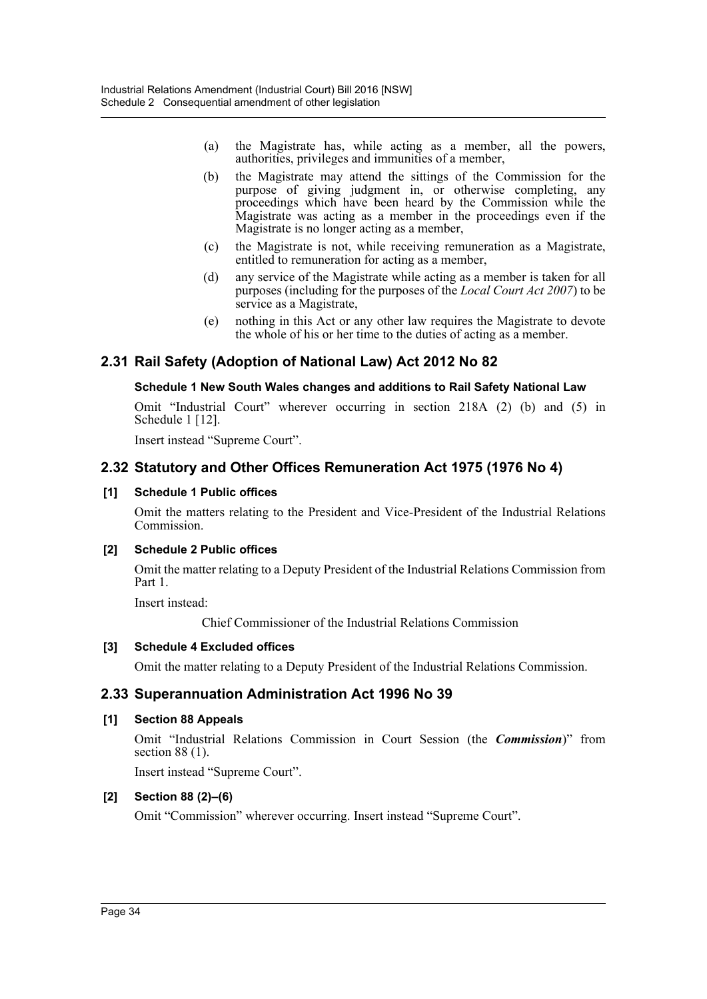- (a) the Magistrate has, while acting as a member, all the powers, authorities, privileges and immunities of a member,
- (b) the Magistrate may attend the sittings of the Commission for the purpose of giving judgment in, or otherwise completing, any proceedings which have been heard by the Commission while the Magistrate was acting as a member in the proceedings even if the Magistrate is no longer acting as a member,
- (c) the Magistrate is not, while receiving remuneration as a Magistrate, entitled to remuneration for acting as a member,
- (d) any service of the Magistrate while acting as a member is taken for all purposes (including for the purposes of the *Local Court Act 2007*) to be service as a Magistrate,
- (e) nothing in this Act or any other law requires the Magistrate to devote the whole of his or her time to the duties of acting as a member.

## **2.31 Rail Safety (Adoption of National Law) Act 2012 No 82**

### **Schedule 1 New South Wales changes and additions to Rail Safety National Law**

Omit "Industrial Court" wherever occurring in section 218A (2) (b) and (5) in Schedule 1 [12].

Insert instead "Supreme Court".

## **2.32 Statutory and Other Offices Remuneration Act 1975 (1976 No 4)**

### **[1] Schedule 1 Public offices**

Omit the matters relating to the President and Vice-President of the Industrial Relations Commission.

#### **[2] Schedule 2 Public offices**

Omit the matter relating to a Deputy President of the Industrial Relations Commission from Part 1.

Insert instead:

Chief Commissioner of the Industrial Relations Commission

## **[3] Schedule 4 Excluded offices**

Omit the matter relating to a Deputy President of the Industrial Relations Commission.

## **2.33 Superannuation Administration Act 1996 No 39**

#### **[1] Section 88 Appeals**

Omit "Industrial Relations Commission in Court Session (the *Commission*)" from section 88 (1).

Insert instead "Supreme Court".

## **[2] Section 88 (2)–(6)**

Omit "Commission" wherever occurring. Insert instead "Supreme Court".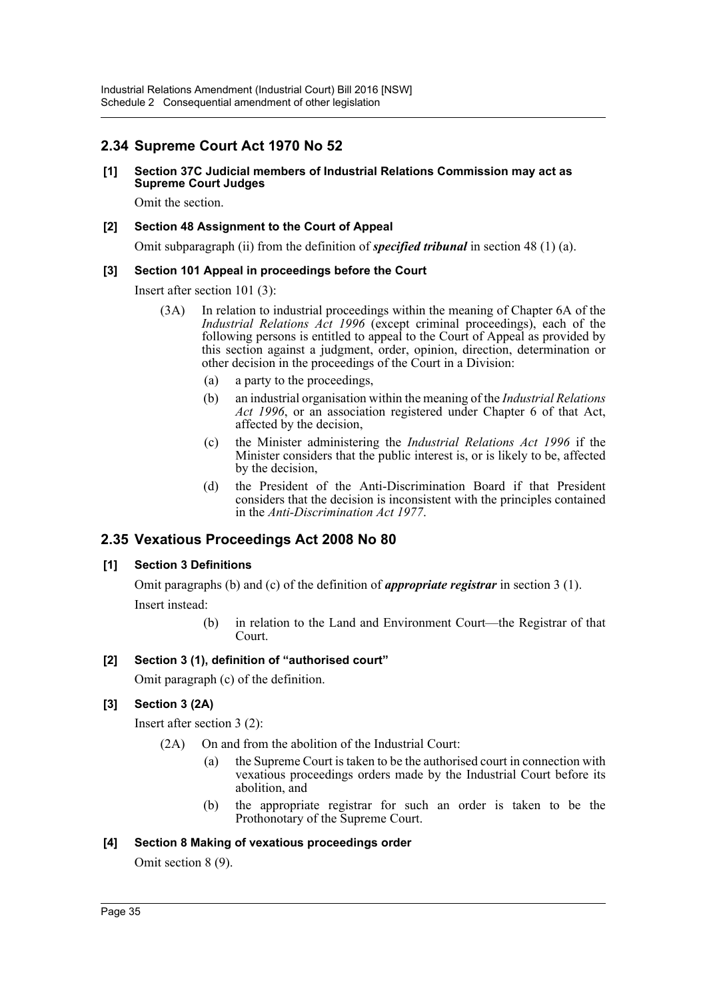## **2.34 Supreme Court Act 1970 No 52**

#### **[1] Section 37C Judicial members of Industrial Relations Commission may act as Supreme Court Judges**

Omit the section.

## **[2] Section 48 Assignment to the Court of Appeal**

Omit subparagraph (ii) from the definition of *specified tribunal* in section 48 (1) (a).

### **[3] Section 101 Appeal in proceedings before the Court**

Insert after section 101 (3):

- (3A) In relation to industrial proceedings within the meaning of Chapter 6A of the *Industrial Relations Act 1996* (except criminal proceedings), each of the following persons is entitled to appeal to the Court of Appeal as provided by this section against a judgment, order, opinion, direction, determination or other decision in the proceedings of the Court in a Division:
	- (a) a party to the proceedings,
	- (b) an industrial organisation within the meaning of the *Industrial Relations Act 1996*, or an association registered under Chapter 6 of that Act, affected by the decision,
	- (c) the Minister administering the *Industrial Relations Act 1996* if the Minister considers that the public interest is, or is likely to be, affected by the decision,
	- (d) the President of the Anti-Discrimination Board if that President considers that the decision is inconsistent with the principles contained in the *Anti-Discrimination Act 1977*.

## **2.35 Vexatious Proceedings Act 2008 No 80**

## **[1] Section 3 Definitions**

Omit paragraphs (b) and (c) of the definition of *appropriate registrar* in section 3 (1). Insert instead:

> (b) in relation to the Land and Environment Court—the Registrar of that Court.

## **[2] Section 3 (1), definition of "authorised court"**

Omit paragraph (c) of the definition.

## **[3] Section 3 (2A)**

Insert after section 3 (2):

- (2A) On and from the abolition of the Industrial Court:
	- (a) the Supreme Court is taken to be the authorised court in connection with vexatious proceedings orders made by the Industrial Court before its abolition, and
	- (b) the appropriate registrar for such an order is taken to be the Prothonotary of the Supreme Court.

#### **[4] Section 8 Making of vexatious proceedings order**

Omit section 8 (9).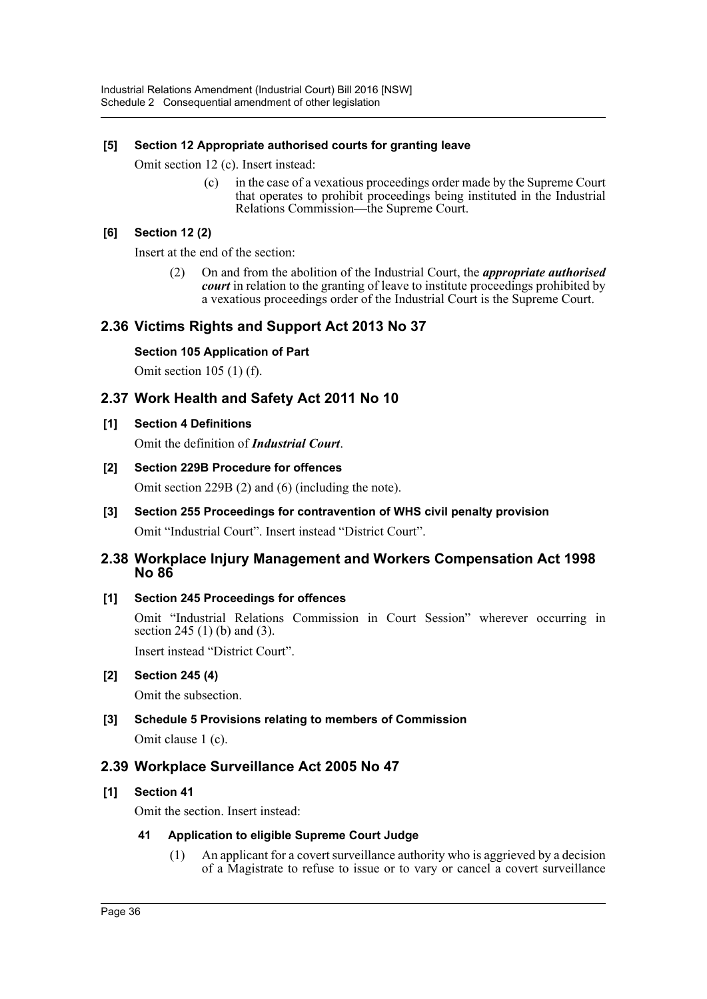## **[5] Section 12 Appropriate authorised courts for granting leave**

Omit section 12 (c). Insert instead:

(c) in the case of a vexatious proceedings order made by the Supreme Court that operates to prohibit proceedings being instituted in the Industrial Relations Commission—the Supreme Court.

## **[6] Section 12 (2)**

Insert at the end of the section:

(2) On and from the abolition of the Industrial Court, the *appropriate authorised court* in relation to the granting of leave to institute proceedings prohibited by a vexatious proceedings order of the Industrial Court is the Supreme Court.

## **2.36 Victims Rights and Support Act 2013 No 37**

## **Section 105 Application of Part**

Omit section 105 (1) (f).

## **2.37 Work Health and Safety Act 2011 No 10**

### **[1] Section 4 Definitions**

Omit the definition of *Industrial Court*.

### **[2] Section 229B Procedure for offences**

Omit section 229B (2) and (6) (including the note).

**[3] Section 255 Proceedings for contravention of WHS civil penalty provision** Omit "Industrial Court". Insert instead "District Court".

## **2.38 Workplace Injury Management and Workers Compensation Act 1998 No 86**

## **[1] Section 245 Proceedings for offences**

Omit "Industrial Relations Commission in Court Session" wherever occurring in section 245 (1) (b) and (3).

Insert instead "District Court".

#### **[2] Section 245 (4)**

Omit the subsection.

## **[3] Schedule 5 Provisions relating to members of Commission**

Omit clause 1 (c).

## **2.39 Workplace Surveillance Act 2005 No 47**

## **[1] Section 41**

Omit the section. Insert instead:

#### **41 Application to eligible Supreme Court Judge**

(1) An applicant for a covert surveillance authority who is aggrieved by a decision of a Magistrate to refuse to issue or to vary or cancel a covert surveillance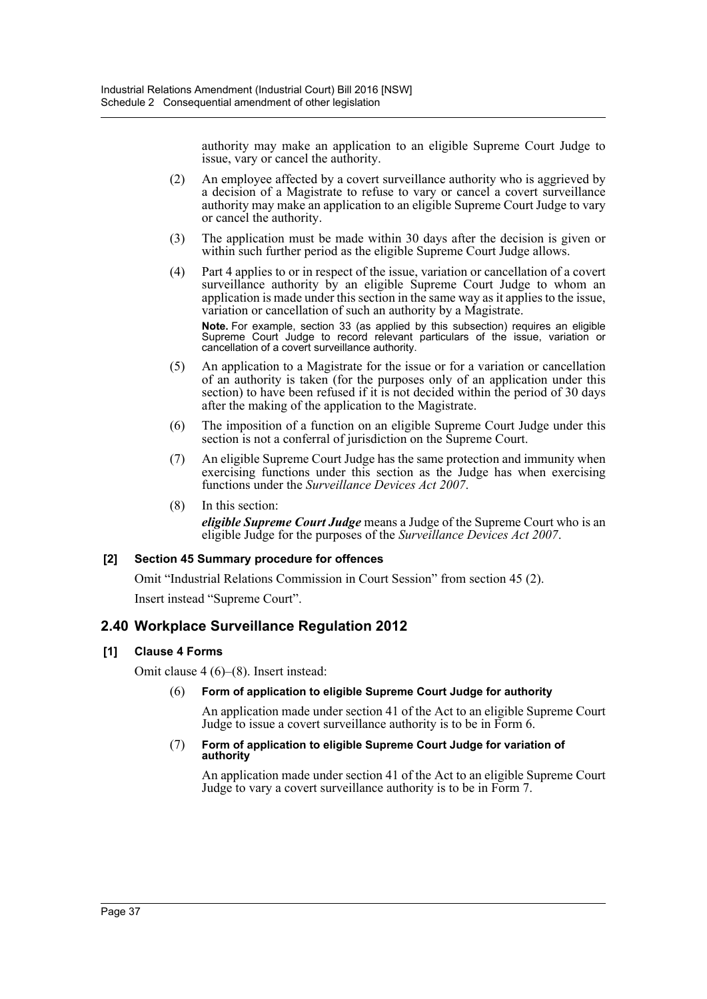authority may make an application to an eligible Supreme Court Judge to issue, vary or cancel the authority.

- (2) An employee affected by a covert surveillance authority who is aggrieved by a decision of a Magistrate to refuse to vary or cancel a covert surveillance authority may make an application to an eligible Supreme Court Judge to vary or cancel the authority.
- (3) The application must be made within 30 days after the decision is given or within such further period as the eligible Supreme Court Judge allows.
- (4) Part 4 applies to or in respect of the issue, variation or cancellation of a covert surveillance authority by an eligible Supreme Court Judge to whom an application is made under this section in the same way as it applies to the issue, variation or cancellation of such an authority by a Magistrate. **Note.** For example, section 33 (as applied by this subsection) requires an eligible

Supreme Court Judge to record relevant particulars of the issue, variation or cancellation of a covert surveillance authority.

- (5) An application to a Magistrate for the issue or for a variation or cancellation of an authority is taken (for the purposes only of an application under this section) to have been refused if it is not decided within the period of 30 days after the making of the application to the Magistrate.
- (6) The imposition of a function on an eligible Supreme Court Judge under this section is not a conferral of jurisdiction on the Supreme Court.
- (7) An eligible Supreme Court Judge has the same protection and immunity when exercising functions under this section as the Judge has when exercising functions under the *Surveillance Devices Act 2007*.
- (8) In this section: *eligible Supreme Court Judge* means a Judge of the Supreme Court who is an eligible Judge for the purposes of the *Surveillance Devices Act 2007*.

## **[2] Section 45 Summary procedure for offences**

Omit "Industrial Relations Commission in Court Session" from section 45 (2).

Insert instead "Supreme Court".

## **2.40 Workplace Surveillance Regulation 2012**

## **[1] Clause 4 Forms**

Omit clause 4 (6)–(8). Insert instead:

(6) **Form of application to eligible Supreme Court Judge for authority**

An application made under section 41 of the Act to an eligible Supreme Court Judge to issue a covert surveillance authority is to be in Form 6.

#### (7) **Form of application to eligible Supreme Court Judge for variation of authority**

An application made under section 41 of the Act to an eligible Supreme Court Judge to vary a covert surveillance authority is to be in Form 7.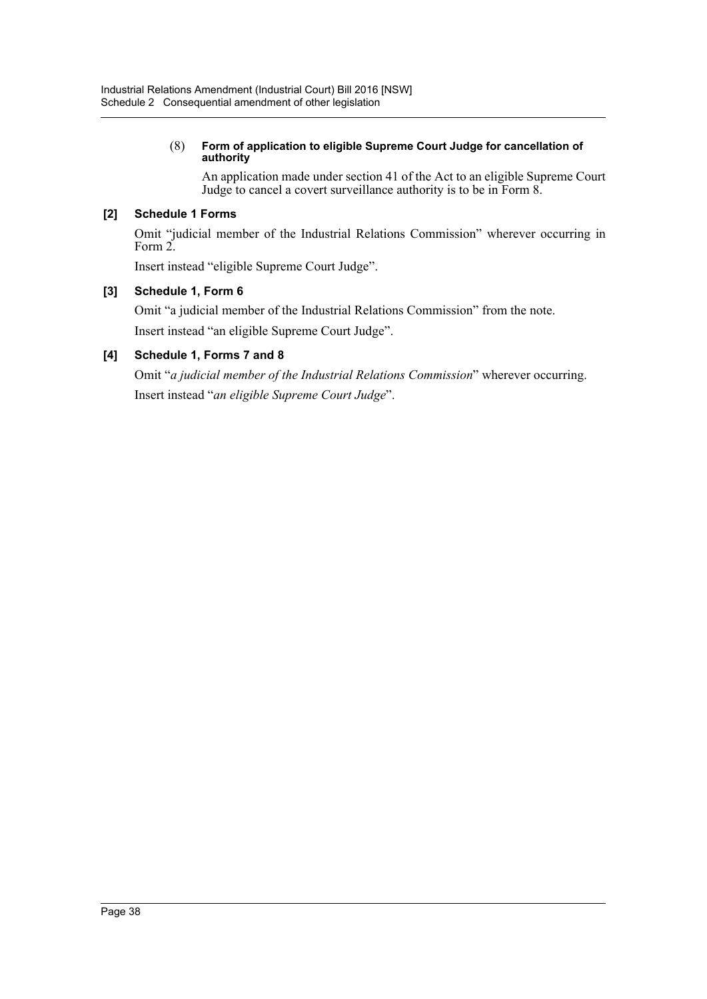### (8) **Form of application to eligible Supreme Court Judge for cancellation of authority**

An application made under section 41 of the Act to an eligible Supreme Court Judge to cancel a covert surveillance authority is to be in Form 8.

## **[2] Schedule 1 Forms**

Omit "judicial member of the Industrial Relations Commission" wherever occurring in Form 2.

Insert instead "eligible Supreme Court Judge".

## **[3] Schedule 1, Form 6**

Omit "a judicial member of the Industrial Relations Commission" from the note. Insert instead "an eligible Supreme Court Judge".

## **[4] Schedule 1, Forms 7 and 8**

Omit "*a judicial member of the Industrial Relations Commission*" wherever occurring. Insert instead "*an eligible Supreme Court Judge*".